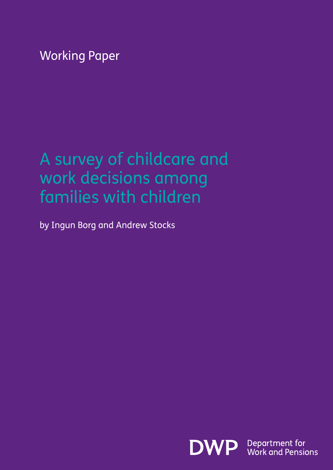Working Paper

### A survey of childcare and work decisions among families with children

by Ingun Borg and Andrew Stocks

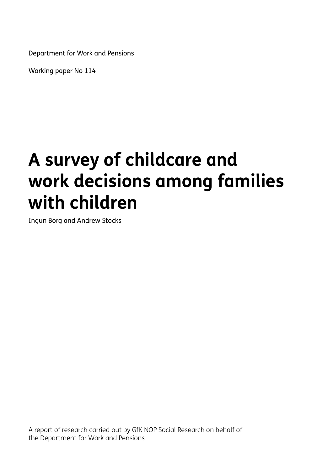Department for Work and Pensions

Working paper No 114

### **A survey of childcare and work decisions among families with children**

Ingun Borg and Andrew Stocks

A report of research carried out by GfK NOP Social Research on behalf of the Department for Work and Pensions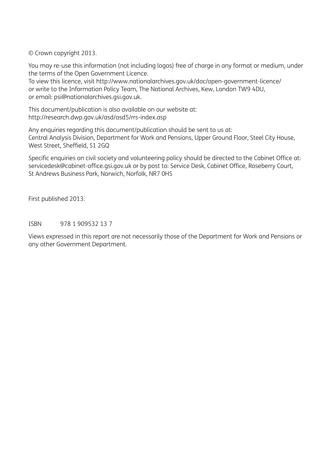© Crown copyright 2013.

You may re-use this information (not including logos) free of charge in any format or medium, under the terms of the Open Government Licence.

To view this licence, visit http://www.nationalarchives.gov.uk/doc/open-government-licence/ or write to the Information Policy Team, The National Archives, Kew, London TW9 4DU, or email: psi@nationalarchives.gsi.gov.uk.

This document/publication is also available on our website at: http://research.dwp.gov.uk/asd/asd5/rrs-index.asp

Any enquiries regarding this document/publication should be sent to us at: Central Analysis Division, Department for Work and Pensions, Upper Ground Floor, Steel City House, West Street, Sheffield, S1 2GQ

Specific enquiries on civil society and volunteering policy should be directed to the Cabinet Office at: servicedesk@cabinet-office.gsi.gov.uk or by post to: Service Desk, Cabinet Office, Roseberry Court, St Andrews Business Park, Norwich, Norfolk, NR7 0HS

First published 2013.

ISBN 978 1 909532 13 7

Views expressed in this report are not necessarily those of the Department for Work and Pensions or any other Government Department.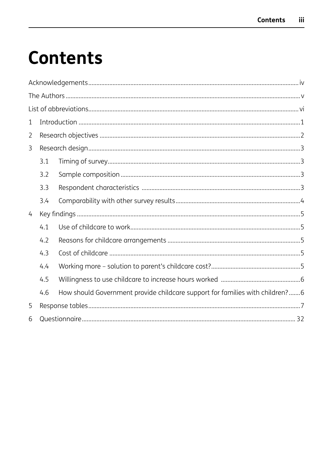### **Contents**

| 1 |     |                                                                              |
|---|-----|------------------------------------------------------------------------------|
| 2 |     |                                                                              |
| 3 |     |                                                                              |
|   | 3.1 |                                                                              |
|   | 3.2 |                                                                              |
|   | 3.3 |                                                                              |
|   | 3.4 |                                                                              |
| 4 |     |                                                                              |
|   | 4.1 |                                                                              |
|   | 4.2 |                                                                              |
|   | 4.3 |                                                                              |
|   | 4.4 |                                                                              |
|   | 4.5 |                                                                              |
|   | 4.6 | How should Government provide childcare support for families with children?6 |
| 5 |     |                                                                              |
| 6 |     |                                                                              |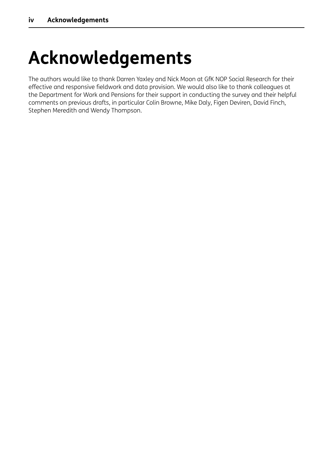### <span id="page-4-0"></span>**Acknowledgements**

The authors would like to thank Darren Yaxley and Nick Moon at GfK NOP Social Research for their effective and responsive fieldwork and data provision. We would also like to thank colleagues at the Department for Work and Pensions for their support in conducting the survey and their helpful comments on previous drafts, in particular Colin Browne, Mike Daly, Figen Deviren, David Finch, Stephen Meredith and Wendy Thompson.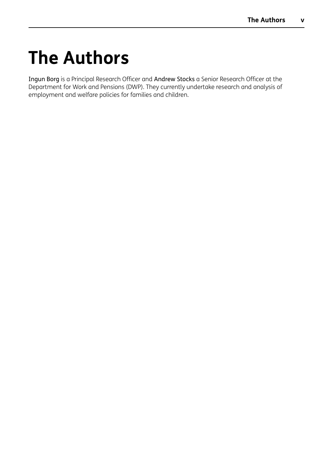### <span id="page-5-0"></span>**The Authors**

Ingun Borg is a Principal Research Officer and Andrew Stocks a Senior Research Officer at the Department for Work and Pensions (DWP). They currently undertake research and analysis of employment and welfare policies for families and children.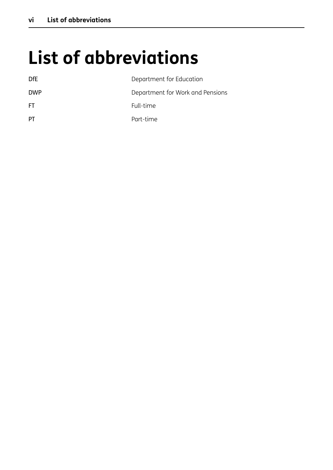## **List of abbreviations**

| DfE        | Department for Education         |
|------------|----------------------------------|
| <b>DWP</b> | Department for Work and Pensions |
| FT.        | Full-time                        |
| РT         | Part-time                        |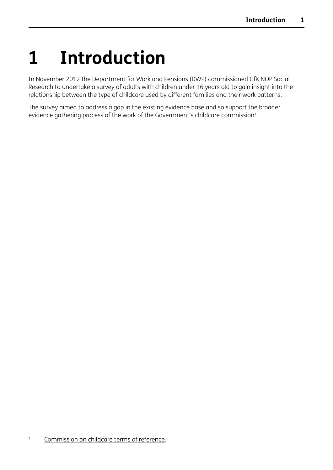## <span id="page-7-0"></span>**1 Introduction**

In November 2012 the Department for Work and Pensions (DWP) commissioned GfK NOP Social Research to undertake a survey of adults with children under 16 years old to gain insight into the relationship between the type of childcare used by different families and their work patterns.

The survey aimed to address a gap in the existing evidence base and so support the broader evidence gathering process of the work of the Government's childcare commission<sup>1</sup>.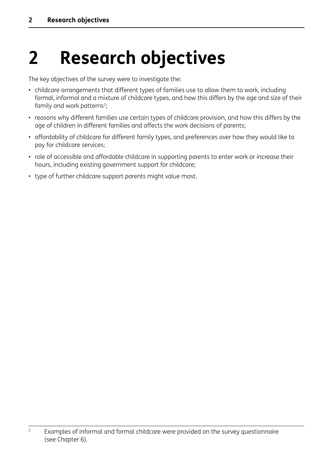## <span id="page-8-0"></span>**2 Research objectives**

The key objectives of the survey were to investigate the:

- childcare arrangements that different types of families use to allow them to work, including formal, informal and a mixture of childcare types, and how this differs by the age and size of their family and work patterns<sup>2</sup>;
- reasons why different families use certain types of childcare provision, and how this differs by the age of children in different families and affects the work decisions of parents;
- affordability of childcare for different family types, and preferences over how they would like to pay for childcare services;
- role of accessible and affordable childcare in supporting parents to enter work or increase their hours, including existing government support for childcare;
- type of further childcare support parents might value most.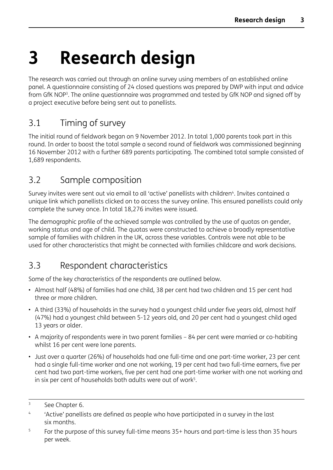## <span id="page-9-0"></span>**3 Research design**

The research was carried out through an online survey using members of an established online panel. A questionnaire consisting of 24 closed questions was prepared by DWP with input and advice from GfK NOP3. The online questionnaire was programmed and tested by GfK NOP and signed off by a project executive before being sent out to panellists.

### 3.1 Timing of survey

The initial round of fieldwork began on 9 November 2012. In total 1,000 parents took part in this round. In order to boost the total sample a second round of fieldwork was commissioned beginning 16 November 2012 with a further 689 parents participating. The combined total sample consisted of 1,689 respondents.

#### 3.2 Sample composition

Survey invites were sent out via email to all 'active' panellists with children<sup>4</sup>. Invites contained a unique link which panellists clicked on to access the survey online. This ensured panellists could only complete the survey once. In total 18,276 invites were issued.

The demographic profile of the achieved sample was controlled by the use of quotas on gender, working status and age of child. The quotas were constructed to achieve a broadly representative sample of families with children in the UK, across these variables. Controls were not able to be used for other characteristics that might be connected with families childcare and work decisions.

#### 3.3 Respondent characteristics

Some of the key characteristics of the respondents are outlined below.

- Almost half (48%) of families had one child, 38 per cent had two children and 15 per cent had three or more children.
- A third (33%) of households in the survey had a youngest child under five years old, almost half (47%) had a youngest child between 5-12 years old, and 20 per cent had a youngest child aged 13 years or older.
- A majority of respondents were in two parent families 84 per cent were married or co-habiting whilst 16 per cent were lone parents.
- Just over a quarter (26%) of households had one full-time and one part-time worker, 23 per cent had a single full-time worker and one not working, 19 per cent had two full-time earners, five per cent had two part-time workers, five per cent had one part-time worker with one not working and in six per cent of households both adults were out of work<sup>5</sup>.

<sup>&</sup>lt;sup>3</sup> See Chapter 6.

<sup>&</sup>lt;sup>4</sup> 'Active' panellists are defined as people who have participated in a survey in the last six months.

 $5$  For the purpose of this survey full-time means  $35+$  hours and part-time is less than 35 hours per week.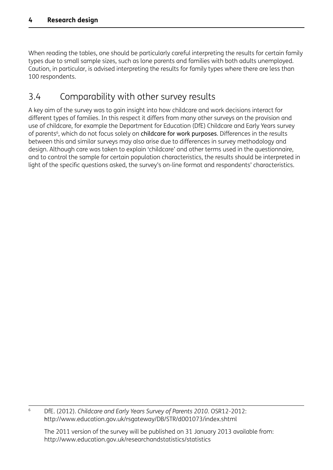<span id="page-10-0"></span>When reading the tables, one should be particularly careful interpreting the results for certain family types due to small sample sizes, such as lone parents and families with both adults unemployed. Caution, in particular, is advised interpreting the results for family types where there are less than 100 respondents.

#### 3.4 Comparability with other survey results

A key aim of the survey was to gain insight into how childcare and work decisions interact for different types of families. In this respect it differs from many other surveys on the provision and use of childcare, for example the Department for Education (DfE) Childcare and Early Years survey of parents<sup>6</sup>, which do not focus solely on childcare for work purposes. Differences in the results between this and similar surveys may also arise due to differences in survey methodology and design. Although care was taken to explain 'childcare' and other terms used in the questionnaire, and to control the sample for certain population characteristics, the results should be interpreted in light of the specific questions asked, the survey's on-line format and respondents' characteristics.

<sup>6</sup> DfE. (2012). *Childcare and Early Years Survey of Parents 2010*. OSR12-2012: http://www.education.gov.uk/rsgateway/DB/STR/d001073/index.shtml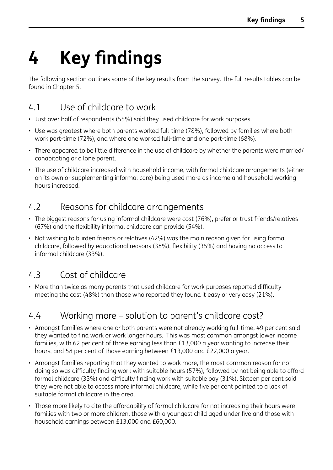# <span id="page-11-0"></span>**4 Key findings**

The following section outlines some of the key results from the survey. The full results tables can be found in Chapter 5.

### 4.1 Use of childcare to work

- Just over half of respondents (55%) said they used childcare for work purposes.
- Use was greatest where both parents worked full-time (78%), followed by families where both work part-time (72%), and where one worked full-time and one part-time (68%).
- There appeared to be little difference in the use of childcare by whether the parents were married/ cohabitating or a lone parent.
- The use of childcare increased with household income, with formal childcare arrangements (either on its own or supplementing informal care) being used more as income and household working hours increased.

#### 4.2 Reasons for childcare arrangements

- The biggest reasons for using informal childcare were cost (76%), prefer or trust friends/relatives (67%) and the flexibility informal childcare can provide (54%).
- Not wishing to burden friends or relatives (42%) was the main reason given for using formal childcare, followed by educational reasons (38%), flexibility (35%) and having no access to informal childcare (33%).

### 4.3 Cost of childcare

• More than twice as many parents that used childcare for work purposes reported difficulty meeting the cost (48%) than those who reported they found it easy or very easy (21%).

#### 4.4 Working more – solution to parent's childcare cost?

- Amongst families where one or both parents were not already working full-time, 49 per cent said they wanted to find work or work longer hours. This was most common amongst lower income families, with 62 per cent of those earning less than £13,000 a year wanting to increase their hours, and 58 per cent of those earning between £13,000 and £22,000 a year.
- Amongst families reporting that they wanted to work more, the most common reason for not doing so was difficulty finding work with suitable hours (57%), followed by not being able to afford formal childcare (33%) and difficulty finding work with suitable pay (31%). Sixteen per cent said they were not able to access more informal childcare, while five per cent pointed to a lack of suitable formal childcare in the area.
- Those more likely to cite the affordability of formal childcare for not increasing their hours were families with two or more children, those with a youngest child aged under five and those with household earnings between £13,000 and £60,000.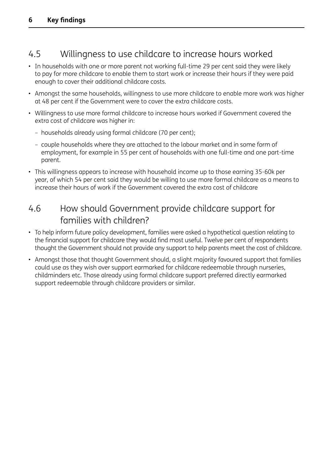### <span id="page-12-0"></span>4.5 Willingness to use childcare to increase hours worked

- In households with one or more parent not working full-time 29 per cent said they were likely to pay for more childcare to enable them to start work or increase their hours if they were paid enough to cover their additional childcare costs.
- Amongst the same households, willingness to use more childcare to enable more work was higher at 48 per cent if the Government were to cover the extra childcare costs.
- Willingness to use more formal childcare to increase hours worked if Government covered the extra cost of childcare was higher in:
	- households already using formal childcare (70 per cent);
	- couple households where they are attached to the labour market and in some form of employment, for example in 55 per cent of households with one full-time and one part-time parent.
- This willingness appears to increase with household income up to those earning 35-60k per year, of which 54 per cent said they would be willing to use more formal childcare as a means to increase their hours of work if the Government covered the extra cost of childcare

#### 4.6 How should Government provide childcare support for families with children?

- To help inform future policy development, families were asked a hypothetical question relating to the financial support for childcare they would find most useful. Twelve per cent of respondents thought the Government should not provide any support to help parents meet the cost of childcare.
- Amongst those that thought Government should, a slight majority favoured support that families could use as they wish over support earmarked for childcare redeemable through nurseries, childminders etc. Those already using formal childcare support preferred directly earmarked support redeemable through childcare providers or similar.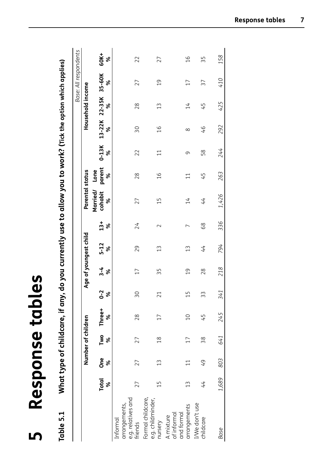<span id="page-13-0"></span>

| Table 5.1                                                  |                   |               |                    |             |                |                |                       |             | What type of childcare, if any, do you currently use to allow you to work? (Tick the option which applies) |                     |              |               |                           |                       |               |
|------------------------------------------------------------|-------------------|---------------|--------------------|-------------|----------------|----------------|-----------------------|-------------|------------------------------------------------------------------------------------------------------------|---------------------|--------------|---------------|---------------------------|-----------------------|---------------|
|                                                            |                   |               |                    |             |                |                |                       |             |                                                                                                            |                     |              |               |                           | Base: All respondents |               |
|                                                            |                   |               | Number of children |             |                |                | Age of youngest child |             | Parental status                                                                                            |                     |              |               | Household income          |                       |               |
|                                                            | <b>Total</b><br>ৼ | Ö<br>С<br>ৼ   | Two<br>ৡ           | Three+<br>ৼ | $2 -$<br>శ     | $3 - 4$<br>ৡ   | $5 - 12$<br>ৡ         | $13 +$<br>ৡ | Married/<br>cohabit<br>ৡ                                                                                   | parent<br>Lone<br>ৡ | $0-13K$<br>ৼ | ৡ             | 13-22K 22-35K 35-60K<br>४ | ৡ                     | 60K+<br>ৡ     |
| e.g. relatives and<br>arrangements,<br>Informal<br>friends | 27                | 27            | 27                 | 28          | SΟ             | $\Box$         | 29                    | 24          | 27                                                                                                         | 28                  | 22           | $50\,$        | 28                        | 27                    | 22            |
| Formal childcare,<br>e.g. childminder,<br>nursery          | $\overline{1}$    | $\frac{1}{3}$ | $\frac{8}{10}$     | $\Box$      | 21             | 35             | $\mathfrak{L}$        | $\sim$      | $\frac{1}{1}$                                                                                              | $\frac{9}{1}$       | $\Xi$        | $\frac{6}{1}$ | $\widetilde{13}$          | $\overline{0}$        | 27            |
| arrangements<br>and formal<br>of informal<br>A mixture     | $\widetilde{\Xi}$ |               | $\overline{17}$    | $\Omega$    | $\overline{1}$ | $\overline{0}$ | $\widetilde{13}$      |             | 14                                                                                                         | $\Xi$               | 9            | $\infty$      | $\overline{14}$           | $\overline{17}$       | $\frac{0}{1}$ |
| I/We don't use<br>childcare                                | 44                | 49            | 38                 | 45          | 33             | 28             | 44                    | 68          | 44                                                                                                         | 45                  | 58           | 97            | 45                        | 37                    | 35            |
| Base                                                       | 1,689             | 803           | 641                | 245         | 341            | 218            | 794                   | 336         | 1,426                                                                                                      | 263                 | 244          | 292           | 425                       | 410                   | 158           |

**5**

**Response tables**

Response tables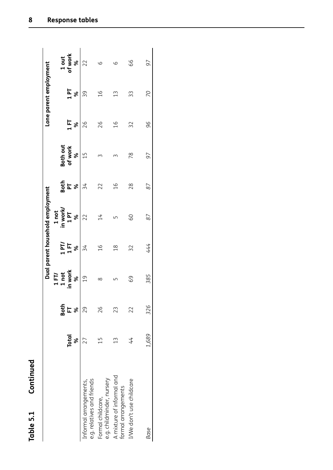| ï<br>t      |  |
|-------------|--|
| ť           |  |
|             |  |
|             |  |
|             |  |
|             |  |
|             |  |
|             |  |
|             |  |
|             |  |
| ۳           |  |
|             |  |
| L<br>ł<br>I |  |
|             |  |
| t           |  |
|             |  |
|             |  |
| t           |  |

|                                                      |              |                  |                  |                | Dual parent household employment |                            |                     |               | Lone parent employment |                  |
|------------------------------------------------------|--------------|------------------|------------------|----------------|----------------------------------|----------------------------|---------------------|---------------|------------------------|------------------|
|                                                      |              |                  | È                |                | I not                            |                            |                     |               |                        |                  |
|                                                      | <b>Total</b> | <b>Both</b><br>E | in work<br>1 not | $1$ PT/<br>158 | in work/<br>T <sub>4</sub>       | 효다<br>PT                   | Both out<br>of work | ΙE<br>Η       | T <sub>4</sub>         | of work<br>1 out |
|                                                      | %            |                  | %                |                | $\infty$                         | $\boldsymbol{\mathcal{S}}$ | ৡ                   | ৡ             | ৯                      | ৡ                |
| e.g. relatives and friends<br>Informal arrangements, |              | 29               | $\overline{0}$   | 34             | 22                               | 34                         | $\frac{1}{1}$       | 26            | 99                     |                  |
| e.g. childminder, nursery<br>Formal childcare,       | 51           | 26               | ∞                | $\frac{0}{1}$  | $\overline{14}$                  | 22                         |                     | 26            | $\frac{9}{1}$          | 9                |
| A mixture of informal and<br>formal arrangements     | 13           | 23               |                  | $\frac{8}{1}$  |                                  | $\frac{9}{1}$              |                     | $\frac{6}{1}$ | $\mathfrak{L}$         | ပ                |
| I/We don't use childcare                             | 44           | 22               | 69               | 32             | 89                               | 28                         | 78                  | 32            | 33                     | 66               |
| <b>Base</b>                                          | 1,689        | 326              | 385              | 444            | 87                               | 87                         | 97                  | 96            | 20                     | 97               |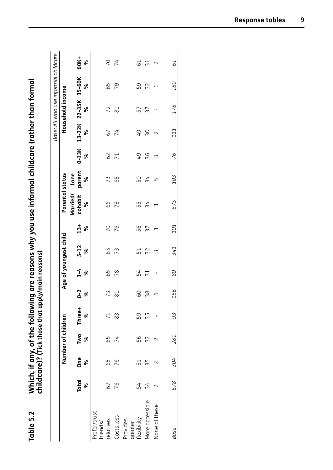|                                          |                   |          |                    |                 |                     |                             |                       |               |                                 |                     |                |                 |                           | Base: All who use informal childcare |                 |
|------------------------------------------|-------------------|----------|--------------------|-----------------|---------------------|-----------------------------|-----------------------|---------------|---------------------------------|---------------------|----------------|-----------------|---------------------------|--------------------------------------|-----------------|
|                                          |                   |          | Number of children |                 |                     |                             | Age of youngest child |               | Parental status                 |                     |                |                 | Household income          |                                      |                 |
|                                          | <b>Total</b><br>ৡ | One<br>ৡ | ৡ                  | Two Three+<br>ৡ | $0 - 2$<br>$\infty$ | $\frac{3}{8}$ $\frac{4}{8}$ | $5 - 12$<br>%         | $\frac{3}{8}$ | Married/<br>cohabit<br>$\infty$ | parent<br>Lone<br>ৡ | $0-13K$<br>ৡ   | %               | 13-22K 22-35K 35-60K<br>৯ | ৡ                                    | 60K+<br>%       |
| Prefer/trust<br>relatives<br>riends/     | 67                | 89       | 59                 | $\overline{7}$  | 73                  | 65                          | 59                    | 20            | 99                              | 73                  | $62$           | 67              | 72                        | 59                                   |                 |
| Costs less                               | 76                | 76       | 74                 | 83              | $\approx$           | 78                          | 73                    | 76            | 78                              | 68                  | $\overline{7}$ | $\overline{74}$ | 81                        | 79                                   | 7 Z<br>7 Z      |
| <b>lexibility</b><br>Provides<br>greater | 54                | 51       | 56                 | 59              | GO                  | 54                          | 51                    | 56            | 55                              | 50                  | -49            | -49             | 57                        | 59                                   | 61              |
| More accessible                          | 34                | 55       | 32                 | 55              | 38                  | $\overline{31}$             | 32                    | 37            | 34                              | $\frac{3}{4}$       | 36             | SΟ              | $\overline{\epsilon}$     | 32                                   | $\overline{31}$ |
| None of these                            |                   |          |                    |                 | $\overline{ }$      | $\blacksquare$              | 3                     |               | $\overline{ }$                  | $\mathsf{L}\cap$    | $\sim$         | $\sim$          | $\mathcal{A}$             | $\overline{\phantom{0}}$             | $\sim$          |
| <b>Base</b>                              | 678               | 304      | 281                | 93              | 156                 | 80                          | 341                   | 101           | 575                             | 103                 | 76             | 111             | 178                       | 180                                  | 61              |

| ollowing are reasons why you use intormal childcare (rather than formal<br>o that annivimain roacon<br><br>115351111<br>Vhich, if any, of the<br>:hildcare)? (Tick th |
|-----------------------------------------------------------------------------------------------------------------------------------------------------------------------|
| Table 5.2                                                                                                                                                             |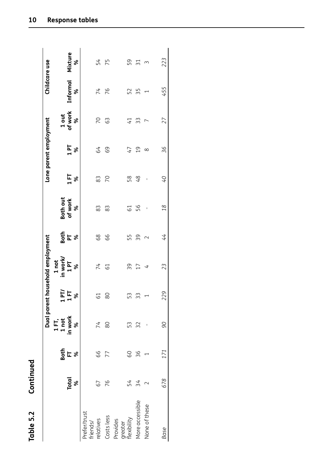| r<br>í<br>t |
|-------------|
|             |
|             |
| r           |
| L<br>r      |
| ľ           |
|             |
|             |
|             |
|             |

|                          |                          |             |                                      |                | Dual parent household employment        |                  |                                 |                | Lone parent employment |                       |                                  | Childcare use       |
|--------------------------|--------------------------|-------------|--------------------------------------|----------------|-----------------------------------------|------------------|---------------------------------|----------------|------------------------|-----------------------|----------------------------------|---------------------|
|                          |                          |             | $1 \overline{1}$<br>$1 \overline{1}$ |                | 1 not                                   |                  |                                 |                |                        |                       |                                  |                     |
|                          | <b>Total</b><br>$\infty$ | Bath<br>디 % | in work<br>ৼ                         | 1578           | in work/<br><b>Ld</b> <sub>1</sub><br>ৡ | $rac{1}{2}$ is a | <b>Both out</b><br>of work<br>ৡ | 158            | $1P$ %                 | 1 out<br>of work<br>ৼ | <b>Informal</b><br>$\frac{8}{3}$ | Mixture<br>$\infty$ |
| Prefer/trust<br>friends/ |                          |             |                                      |                |                                         |                  |                                 |                |                        |                       |                                  |                     |
| relatives                | 67                       | 66          | 74                                   | $\overline{6}$ | 74                                      | 68               | 83                              | 83             | 59                     | 20                    | 74                               |                     |
| Costs less               | 76                       | 77          | 80                                   | 80             | 61                                      | 99               | 83                              | $\overline{C}$ | 69                     | 63                    | 76                               | 54<br>75            |
| Provides                 |                          |             |                                      |                |                                         |                  |                                 |                |                        |                       |                                  |                     |
| greater<br>flexibility   | 54                       | 60          | 53                                   | 53             | 39                                      | 55               | 5                               | 58             | 47                     | $\overline{41}$       | 52                               | 59                  |
| More accessible          | 34                       | 36          | 32                                   | 33             | 17                                      | 39               | 56                              | 48             | $\overline{c}$         | 33                    | 55                               | ్<br>3<br>3         |
| None of these            |                          |             |                                      |                | $\overline{\phantom{a}}$                | $\sim$           | $\mathbf I$                     | Ţ              | $\infty$               | r                     | ۳                                |                     |
| Base                     | 678                      | 171         | 90                                   | 229            | 23                                      | 44               | 18                              | O+             | 36                     | 27                    | 455                              | 223                 |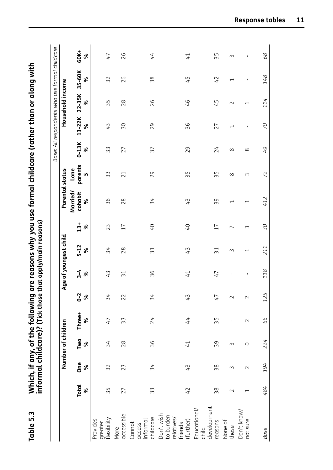|                                                               |                          |          |                    |                |                     |                     |                          |                |                          |                        |              | Base: All respondents who use formal childcare |                          |                          |             |
|---------------------------------------------------------------|--------------------------|----------|--------------------|----------------|---------------------|---------------------|--------------------------|----------------|--------------------------|------------------------|--------------|------------------------------------------------|--------------------------|--------------------------|-------------|
|                                                               |                          |          | Number of children |                |                     |                     | Age of youngest child    |                | <b>Parental status</b>   |                        |              |                                                | Household income         |                          |             |
|                                                               | <b>Total</b><br>ৼ        | One<br>४ | Two<br>$\aleph$    | Three+<br>ৼ    | $0 - 2$<br>$\aleph$ | $3 - 4$<br>$\aleph$ | $5 - 12$<br>$\aleph$     | $13 +$<br>ৡ    | Married/<br>cohabit<br>৯ | parents<br>Lone<br>LO, | $0-13K$<br>৯ | 13-22K<br>ৼ                                    | $22 - 35K$<br>৯          | 35-60K<br>ৡ              | 60K+<br>৯   |
| greater<br>flexibility<br>Provides                            | 35                       | 32       | 34                 | $\overline{4}$ | 34                  | 43                  | 34                       | 23             | 36                       | 33                     | 33           | 43                                             | 55                       | 32                       | 47          |
| accessible<br>More                                            | 27                       | 23       | 28                 | 33             | 22                  | $\overline{51}$     | 28                       | 17             | 28                       | 21                     | 27           | $\approx$                                      | 28                       | 26                       | 26          |
| childcare<br>informal<br>Cannot<br>access                     | 33                       | 34       | 36                 | 24             | 34                  | 36                  | $\overline{31}$          | O+             | 34                       | 29                     | 37           | 29                                             | 26                       | 38                       | 44          |
| Don't wish<br>to burden<br>relatives/<br>friends<br>(further) | 42                       | 43       | $\overline{41}$    | 44             | 43                  | $\overline{4}$      | 43                       | O+             | 43                       | 35                     | 29           | 36                                             | 97                       | 45                       | 41          |
| development<br>Educational/<br>reasons<br>child               | 38                       | 38       | 39                 | 55             | 47                  | $\overline{47}$     | $\overline{51}$          | 17             | 39                       | 35                     | 24           | 27                                             | 45                       | 42                       | 55          |
| None of<br>these                                              | $\sim$                   | S        | S                  | $\mathbf{I}$   | $\sim$              | $\mathsf I$         | 3                        | $\overline{ }$ | $\overline{\phantom{0}}$ | $\infty$               | $\infty$     | $\overline{\phantom{0}}$                       | $\sim$                   | $\overline{\phantom{0}}$ | 3           |
| Don't know/<br>not sure                                       | $\overline{\phantom{0}}$ | $\sim$   | $\circ$            | $\sim$         | $\sim$              | $\sf I$             | $\overline{\phantom{0}}$ | $\sim$         | $\overline{\phantom{0}}$ | 3                      | $\infty$     | $\overline{\phantom{a}}$                       | $\overline{\phantom{0}}$ | $\mathsf I$              | $\mathsf I$ |
| Base                                                          | 484                      | 194      | 224                | 99             | 125                 | 118                 | 211                      | $\infty$       | 412                      | 72                     | 9            | $\beta$                                        | 114                      | 148                      | 89          |

Which, if any, of the following are reasons why you use formal childcare (rather than or along with  $\frac{1}{1+\epsilon}$ **Table 5.3 Which, if any, of the following are reasons why you use formal childcare (rather than or along with informal childcare)? (Tick those that apply/main reasons)**

Table 5.3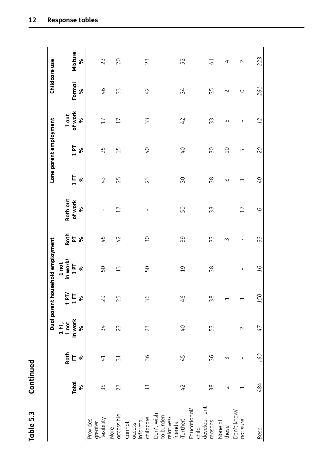| ٢                |  |
|------------------|--|
|                  |  |
| I<br>ī           |  |
|                  |  |
| r<br>Ľ           |  |
| Ç<br>г           |  |
| $\bar{\epsilon}$ |  |

|                                                               |                          |                             |                           |                   | Dual parent household employment |                                      |                 |                 | Lone parent employment |                  | Childcare use |                 |
|---------------------------------------------------------------|--------------------------|-----------------------------|---------------------------|-------------------|----------------------------------|--------------------------------------|-----------------|-----------------|------------------------|------------------|---------------|-----------------|
|                                                               |                          |                             | 1 FT,<br>1 not<br>in work | $1$ PT/<br>$1$ FT | in work/<br>1 not                |                                      | Both out        |                 |                        | 1 out<br>of work |               |                 |
|                                                               | <b>Total</b><br>$\infty$ | $rac{1}{2}$ F $\frac{1}{2}$ | ४                         | ৼ                 | 1P<br>৯                          | <b>Soth</b><br>A<br>S<br>S<br>S<br>S | of work<br>ৡ    | $1$ FT<br>ৡ     | 1 PT<br>ৡ              | ४                | Formal<br>४   | Mixture<br>ৡ    |
| Provides<br>greater<br>flexibility                            | 35                       | $\overline{41}$             | 34                        | 29                | 50                               | 45                                   | I.              | 43              | 25                     | 17               | 46            | 23              |
| accessible<br>More                                            | 27                       | $\overline{51}$             | 23                        | 25                | 13                               | 42                                   | 17              | 25              | 15                     | 17               | 33            | 20              |
| Cannot<br>access<br>informal<br>childcare                     | 33                       | 36                          | 23                        | 36                | 50                               | SO                                   | J.              | 23              | $\mathcal{O}^+$        | 33               | 42            | 23              |
| Don't wish<br>to burden<br>relatives/<br>friends<br>(further) | 42                       | 45                          | $\overline{O}$            | $\overline{9}$    | $\overline{c}$                   | 39                                   | 50              | $\overline{30}$ | $\mathcal{O}^+$        | 42               | 34            | 52              |
| development<br>reasons<br>Educational/<br>child               | $\frac{8}{3}$            | 36                          | 53                        | 38                | 38                               | 33                                   | 33              | 38              | SΟ                     | 33               | 35            | $\overline{41}$ |
| None of<br>these                                              | $\sim$                   | ω                           | ı                         |                   | I.                               | $\sim$                               | I.              | ∞               | $\Omega$               | $\infty$         | $\sim$        | 4               |
| Don't know/<br>not sure                                       |                          | I                           | $\sim$                    |                   | $\mathsf I$                      | $\mathsf I$                          | $\overline{17}$ | $\sim$          | Б                      | J.               | O             | $\sim$          |
| Base                                                          | 484                      | 160                         | 47                        | 150               | $\overline{d}$                   | 33                                   | 9               | O+              | $\overline{C}$         | 12               | 261           | 223             |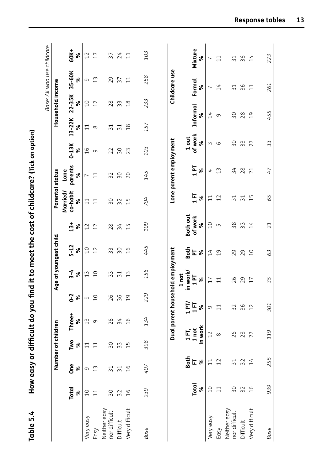| Table 5.4                     |                   | How easy or difficult do you find it to meet the cost of childcare? (Tick on option) |                    |                                  |                 |                       |                |                 |                                      |                          |               |                 |                  | Base: All who use childcare |                 |
|-------------------------------|-------------------|--------------------------------------------------------------------------------------|--------------------|----------------------------------|-----------------|-----------------------|----------------|-----------------|--------------------------------------|--------------------------|---------------|-----------------|------------------|-----------------------------|-----------------|
|                               |                   |                                                                                      | Number of children |                                  |                 | Age of youngest child |                |                 | Parental status                      |                          |               |                 | Household income |                             |                 |
|                               | <b>Total</b>      | <b>One</b>                                                                           | Two                | Three+                           | $0 - 2$         | $3 - 4$               | $5 - 12$       | $13+$           | Married/<br>co-habit                 | parents<br>Lone          | $0-13K$       | 13-22K          | 22-35K           | 35-60K                      | 60K+            |
|                               | ৡ                 | ৡ                                                                                    | ৡ                  | ৯                                | ৡ               | ৡ                     | ৡ              | ৡ               | ৡ                                    | ৡ                        | ৡ             | ৯               | ৯                | ৯                           | $\aleph$        |
| Very easy                     | 10                | 9                                                                                    | $\overline{11}$    | 13                               | 9               | $\frac{1}{3}$         | $\overline{C}$ | 12              | 11                                   | $\overline{\phantom{0}}$ | $\frac{9}{1}$ | 11              | $\overline{C}$   | $\sigma$                    | 12              |
| Easy                          | $\overline{1}$    | $\widetilde{1}$                                                                      | $\Xi$              | 9                                | $\overline{C}$  | $\overline{C}$        | 12             | 12              | $\Xi$                                | $\Xi$                    | $\sigma$      | $\infty$        | 12               | $\widetilde{1}$             | $\overline{17}$ |
| Neither easy<br>nor difficult | SΟ                | 3                                                                                    | 30                 | 28                               | 26              | 33                    | 33             | 28              | SΟ                                   | 32                       | 22            | $\overline{31}$ | 28               | 29                          | 37              |
| Difficult                     | 32                |                                                                                      | 33                 | 34                               | 36              | $\overline{31}$       | SΟ             | 34              | 32                                   | δS                       | SΟ            | $\overline{31}$ | m<br>$\infty$    | 57                          | 24              |
| Very difficult                | $\frac{9}{1}$     | $\frac{9}{1}$                                                                        | $\overline{1}$     | $\frac{9}{1}$                    | $\overline{c}$  | $\widetilde{1}$       | $\frac{9}{1}$  | $\overline{1}$  | 15                                   | 20                       | 23            | $\frac{8}{1}$   | $\frac{8}{1}$    | $\Xi$                       | $\Xi$           |
| Base                          | 939               | 407                                                                                  | 398                | 134                              | 229             | 156                   | 445            | 109             | 794                                  | 145                      | 103           | 157             | 233              | 258                         | 103             |
|                               |                   |                                                                                      |                    |                                  |                 |                       |                |                 |                                      |                          |               |                 |                  |                             |                 |
|                               |                   |                                                                                      |                    | Dual parent household employment |                 |                       |                |                 |                                      | Lone parent employment   |               |                 |                  | Childcare use               |                 |
|                               |                   |                                                                                      |                    |                                  |                 | 1 not                 |                |                 |                                      |                          |               |                 |                  |                             |                 |
|                               |                   | <b>Both</b>                                                                          | 1FT,               |                                  | $1$ PT/         | in work/              | Both           | <b>Both out</b> |                                      |                          | 1 out         |                 |                  |                             |                 |
|                               | <b>Total</b><br>४ | 匸<br>ৡ                                                                               | in work<br>1 not   |                                  | 15<br>ৡ         | 1P<br>৯               | ৡ<br>F         | of work<br>ৡ    | $\frac{1}{1}$<br>ৡ                   | 1P<br>ৡ                  | of work<br>ৡ  | Informal        | ৡ                | Formal<br>వ్                | Mixture<br>శ    |
| Very easy                     | $\overline{C}$    |                                                                                      | 12                 |                                  | $\sigma$        | 17                    | 14             | $\overline{C}$  | $\overline{1}$                       | 4                        | $\sim$        | 14              |                  | $\overline{ }$              | ∼               |
| Easy                          | $\overline{1}$    | 12                                                                                   | $\infty$           |                                  | $\overline{11}$ | $\Xi$                 | $\overline{c}$ | Г.              | 12                                   | $\widetilde{13}$         | 9             | 9               |                  | $\overline{14}$             | $\Xi$           |
| Neither easy<br>nor difficult | δŚ                |                                                                                      | 26                 |                                  | 32              | 26                    | 29             | 38              | $\overline{\phantom{0}}$<br>$\infty$ | 34                       | SΟ            | $\overline{50}$ |                  | $\overline{31}$             | 3               |
| Difficult                     | 32                |                                                                                      | 28                 |                                  | 36              | 29                    | 29             | 33              | m                                    | 28                       | 33            | 28              |                  | 36                          | 36              |
| Very difficult                | 16                | 14                                                                                   | 27                 |                                  | 12              | 17                    | $\overline{C}$ | 14              | S<br>$\overline{\phantom{0}}$        | 21                       | 27            | $\overline{c}$  |                  | $\overline{1}$              | 14              |
| Base                          | 939               | 255                                                                                  | 119                |                                  | 301             | 35                    | 63             | 21              | 65                                   | 47                       | 33            | 455             |                  | 261                         | 223             |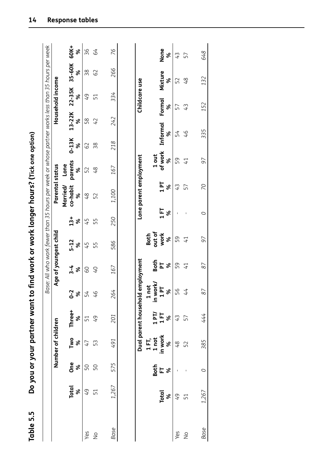| - 7 ا آنا مصم مصم با من                                  |
|----------------------------------------------------------|
|                                                          |
|                                                          |
|                                                          |
|                                                          |
|                                                          |
| "ジニー・ソース!"                                               |
|                                                          |
|                                                          |
|                                                          |
|                                                          |
|                                                          |
|                                                          |
|                                                          |
|                                                          |
|                                                          |
|                                                          |
|                                                          |
|                                                          |
|                                                          |
|                                                          |
|                                                          |
|                                                          |
|                                                          |
|                                                          |
|                                                          |
|                                                          |
|                                                          |
|                                                          |
|                                                          |
|                                                          |
|                                                          |
|                                                          |
|                                                          |
|                                                          |
|                                                          |
|                                                          |
| you or your partner want to find work or work longer hou |
| 3<br>ב                                                   |
|                                                          |
|                                                          |
|                                                          |
| $\mathbf{I}$<br>ſ                                        |
| Lŋ                                                       |
| Table                                                    |
| 1                                                        |
|                                                          |

| Table 5.5     |                   |                      |                       | Do you or your partner want to   |                              |                     |                       |                    | find work or work longer hours? (Tick one option)                                                  |                       |               |             |                  |              |                  |
|---------------|-------------------|----------------------|-----------------------|----------------------------------|------------------------------|---------------------|-----------------------|--------------------|----------------------------------------------------------------------------------------------------|-----------------------|---------------|-------------|------------------|--------------|------------------|
|               |                   |                      |                       |                                  |                              |                     |                       |                    | Base: All who work fewer than 35 hours per week or whose partner works less than 35 hours per week |                       |               |             |                  |              |                  |
|               |                   |                      | Number of children    |                                  |                              |                     | Age of youngest child |                    | Parental status                                                                                    |                       |               |             | Household income |              |                  |
|               | <b>Total</b><br>ৡ | <b>One</b><br>ৡ      | Two<br>$\infty$       | Three+<br>ৡ                      | $0 - 2$<br>ৼ                 | $3 - 4$<br>$\infty$ | $5 - 12$<br>%         | $13 +$<br>$\infty$ | Married/<br>co-habit<br>४                                                                          | parents<br>Lone<br>ৼ  | $0-13K$<br>ৡ  | 13-22K<br>ৼ | $22 - 35K$<br>४  | 35-60K<br>ৼ  | 60K+<br>৯        |
| Yes           | 49                | 50                   | 47                    | 51                               | 54                           | CO                  | 45                    | 45                 | $^{48}$                                                                                            | 52                    | 62            | 58          | 49               | 38           | 36               |
| $\frac{1}{2}$ | 51                | 50                   | 53                    | 49                               | 46                           | $\overline{0}$      | 55                    | 55                 | 52                                                                                                 | 48                    | 38            | 42          | 51               | 62           | 59               |
| Base          | 1,267             | 575                  | 491                   | 201                              | 264                          | 167                 | 586                   | 250                | 1,100                                                                                              | 167                   | 218           | 242         | 334              | 266          | 76               |
|               |                   |                      |                       | Dual parent household employment |                              |                     |                       |                    | Lone parent employment                                                                             |                       |               |             | Childcare use    |              |                  |
|               |                   |                      | 1 FT,                 |                                  | 1 not                        |                     | Both                  |                    |                                                                                                    |                       |               |             |                  |              |                  |
|               | <b>Total</b><br>ৡ | <b>Both</b><br>$E$ % | in work<br>1 not<br>४ | $1$ PT<br>$1$ FT<br>ৡ            | in work/<br>1 PT<br>$\aleph$ | និគ្គ<br>និគន       | out of<br>work<br>४   | 15<br>৯            | 1P<br>ৡ                                                                                            | of work<br>1 out<br>ৼ | Informal<br>৯ |             | Formal<br>৯      | Mixture<br>ৡ | None<br>৯        |
| Yes           | 49                |                      | 48                    | 43                               | 56                           | 59                  | 59                    |                    | 43                                                                                                 | 59                    | 54            |             | 57               | 52           | $\mathfrak{t}^1$ |
| $\frac{1}{2}$ | 51                |                      | 52                    | 57                               | 44                           | $\overline{4}$      | $\overline{41}$       |                    | 57                                                                                                 | $\overline{1}$        | 46            |             | 43               | 48           | 57               |
| <b>Base</b>   | 1,267             | $\circ$              | 385                   | 444                              | 87                           | 87                  | 97                    | O                  | 20                                                                                                 | 97                    | 335           |             | 152              | 132          | 648              |
|               |                   |                      |                       |                                  |                              |                     |                       |                    |                                                                                                    |                       |               |             |                  |              |                  |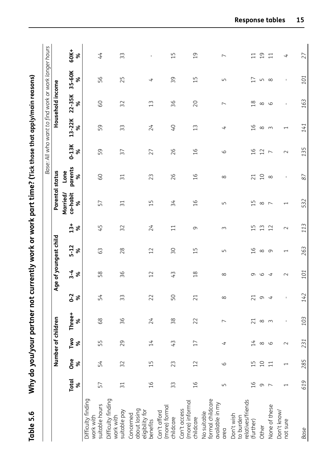| Table 5.6                                                  |                          |                          |                    |                 |                     |               |                                |            | Why do you/your partner not currently work or work part time? (Tick those that apply/main reasons) |                      |                |                          |                          | Base: All who want to find work or work longer hours |                          |
|------------------------------------------------------------|--------------------------|--------------------------|--------------------|-----------------|---------------------|---------------|--------------------------------|------------|----------------------------------------------------------------------------------------------------|----------------------|----------------|--------------------------|--------------------------|------------------------------------------------------|--------------------------|
|                                                            |                          |                          | Number of children |                 |                     |               | Age of youngest child          |            | Parental status                                                                                    |                      |                |                          | Household income         |                                                      |                          |
|                                                            | <b>Total</b><br>ৡ        | <b>One</b><br>ৡ          | Two<br>৯           | Three+<br>৯     | $0 - 2$<br>$\aleph$ | $3 - 4$<br>ৡ  | $5 - 12$<br>ৡ                  | $13+$<br>ৡ | co-habit<br>Married/<br>ৡ                                                                          | parents<br>Lone<br>৯ | $0-13K$<br>ৡ   | 13-22K<br>ৡ              | 22-35K<br>৯              | 35-60K<br>৯                                          | 60K+<br>৯                |
| Difficulty finding<br>suitable hours<br>work with          | 57                       | 54                       | 55                 | 88              | 54                  | 58            | 63                             | 45         | 57                                                                                                 | SO                   | 59             | 59                       | 60                       | 56                                                   | 44                       |
| Difficulty finding<br>suitable pay<br>work with            | $\overline{31}$          | 32                       | 29                 | 36              | 33                  | 36            | 28                             | 32         | $\overline{31}$                                                                                    | $\overline{31}$      | 37             | 33                       | 32                       | 25                                                   | 33                       |
| about losing<br>eligibility for<br>Concerned<br>benefits   | $\frac{91}{5}$           | $\overline{1}$           | 14                 | 24              | 22                  | 12            | 12                             | 24         | $\overline{1}$                                                                                     | 23                   | 27             | 24                       | $\widetilde{1}$          | 4                                                    | $\mathsf I$              |
| (more) formal<br>Can't afford<br>childcare                 | 33                       | 23                       | 43                 | 38              | 50                  | 43            | SΟ                             | $\Xi$      | 34                                                                                                 | 26                   | 26             | O+                       | 36                       | 39                                                   | 15                       |
| (more) informal<br>Can't access<br>childcare               | $\frac{91}{5}$           | 12                       | 17                 | 22              | 21                  | $\frac{8}{1}$ | LN<br>$\overline{\phantom{0}}$ | G          | $\frac{9}{1}$                                                                                      | $\frac{9}{1}$        | $\frac{9}{1}$  | 13                       | 20                       | LN<br>$\overline{\phantom{0}}$                       | $\overline{c}$           |
| formal childcare<br>available in my<br>No suitable<br>area | $\sqrt{ }$               | $\circ$                  | 4                  | $\overline{ }$  | $\infty$            | $\infty$      | Б                              | $\sim$     | Б                                                                                                  | $\infty$             | 9              | 4                        | $\overline{\phantom{0}}$ | Б                                                    | $\overline{\phantom{0}}$ |
| relatives/friends<br>Don't wish<br>to burden<br>(further)  | $\frac{91}{1}$           | $\frac{1}{1}$            | $\overline{14}$    | $\overline{21}$ | 21                  | G             | $\frac{91}{1}$                 | 15         | 15                                                                                                 | $\overline{21}$      | $\frac{9}{1}$  | $\frac{9}{1}$            | $\frac{8}{1}$            | 17                                                   | $\overline{1}$           |
| Other                                                      | $\sigma$                 | 10                       | $\infty$           | $\infty$        | 9                   | $\circ$       | $\infty$                       | 13         | $\infty$                                                                                           | $\overline{C}$       | 12             | $\infty$                 | $\infty$                 | S                                                    | $\overline{c}$           |
| None of these                                              | $\overline{ }$           | 11                       | 6                  | $\sim$          | 4                   | 4             | $\sigma$                       | 12         | $\overline{ }$                                                                                     | $\infty$             | $\overline{ }$ | $\sim$                   | 9                        | $\infty$                                             | $\overline{11}$          |
| Don't know/<br>not sure                                    | $\overline{\phantom{0}}$ | $\overline{\phantom{0}}$ | $\sim$             | $\mathsf I$     | $\mathsf I$         | $\sim$        | $\overline{\phantom{0}}$       | $\sim$     | $\overline{\phantom{0}}$                                                                           | $\mathsf I$          | $\sim$         | $\overline{\phantom{0}}$ | $\mathsf I$              | $\mathbf{I}$                                         | 4                        |
| Base                                                       | 619                      | 285                      | 231                | 103             | 142                 | 101           | 263                            | 113        | 532                                                                                                | 87                   | 135            | 141                      | 163                      | 101                                                  | 27                       |

**Table 5.6 Why do you/your partner not currently work or work part time? (Tick those that apply/main reasons)**  $\frac{1}{2}$ . M/L.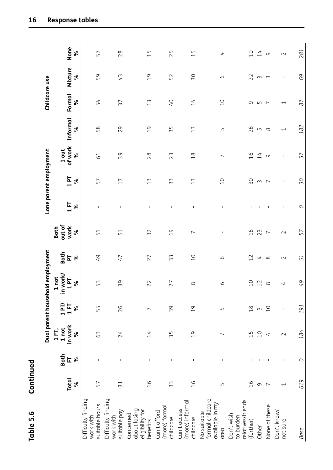| ≝<br>۰<br>Cont                                    |  |
|---------------------------------------------------|--|
| <u>ი</u><br>ს<br>ම<br>ව<br>a<br>ō.<br>$\breve{=}$ |  |

|                                                            |                          |               |                       |                | Dual parent household employment |                                |                          |                        | Lone parent employment |                          |                          | Childcare use            |              |                                |
|------------------------------------------------------------|--------------------------|---------------|-----------------------|----------------|----------------------------------|--------------------------------|--------------------------|------------------------|------------------------|--------------------------|--------------------------|--------------------------|--------------|--------------------------------|
|                                                            |                          | Both          | 1 FT,                 | $1$ PT/        | in work/<br>not<br>$\mathbf{r}$  |                                | out of<br>Both           |                        |                        |                          |                          |                          |              |                                |
|                                                            | <b>Total</b><br>ৡ        | 匸<br>$\infty$ | 1 not<br>in work<br>ৡ | 15<br>ৡ        | $\overline{P}$<br>$\aleph$       | $\frac{1}{2}$ is $\frac{1}{2}$ | work<br>$\aleph$         | $1 \, \mathrm{F}$<br>ৡ | 1 PT<br>ৡ              | 1 out<br>of work<br>ৡ    | Informal<br>৯            | Formal<br>ৡ              | Mixture<br>৯ | None<br>ৡ                      |
| Difficulty finding<br>suitable hours<br>work with          | 57                       |               | 63                    | 55             | 53                               | $\overline{6}$                 | 51                       |                        | 57                     | 61                       | 58                       | 54                       | 59           | 57                             |
| Difficulty finding<br>suitable pay<br>work with            | $\overline{31}$          |               | 24                    | 26             | 39                               | $\overline{47}$                | 51                       | I.                     | 17                     | 39                       | 29                       | 37                       | 43           | 28                             |
| about losing<br>eligibility for<br>Concerned<br>benefits   | $\frac{1}{6}$            | Ţ             | $\overline{14}$       | $\overline{ }$ | 22                               | 27                             | 32                       | $\mathsf I$            | 13                     | 28                       | $\overline{c}$           | 13                       | 19           | $\overline{1}$                 |
| (more) formal<br>Can't afford<br>childcare                 | 33                       |               | 55                    | 39             | 27                               | 33                             | $\overline{c}$           | $\mathsf I$            | 33                     | 23                       | 55                       | O+                       | 52           | 25                             |
| (more) informal<br>Can't access<br>childcare               | $\frac{9}{1}$            | 1             | $\overline{c}$        | $\overline{c}$ | $\infty$                         | $\overline{C}$                 | $\overline{ }$           | 1                      | 13                     | $\frac{8}{18}$           | 13                       | 14                       | SΟ           | LO<br>$\overline{\phantom{0}}$ |
| formal childcare<br>available in my<br>No suitable<br>area | Б                        | $\mathsf I$   |                       | $\overline{L}$ | $\circ$                          | $\circ$                        | $\mathsf I$              | $\mathsf I$            | $\overline{10}$        | $\overline{\phantom{0}}$ | Б                        | $\overline{C}$           | 6            | 4                              |
| relatives/friends<br>Don't wish<br>to burden<br>(further)  | $\overline{a}$           |               | $\overline{1}$        | $^{28}$        | $\overline{C}$                   | 12                             | $\frac{1}{6}$            | J.                     | 50                     | $\frac{9}{1}$            | 26                       | 9                        | 22           | $\overline{0}$                 |
| Other                                                      | $\sigma$                 |               | $\Omega$              | $\sim$         | 12                               | $\overline{t}$                 | 23                       | J.                     | $\sim$                 | 14                       | $\mathsf{L}\cap$         | LO.                      | $\sim$       | 14                             |
| None of these                                              | $\overline{ }$           |               | 4                     | 10             | $\infty$                         | $\infty$                       | $\overline{\phantom{0}}$ | $\mathsf I$            | $\overline{ }$         | $\sigma$                 | $\infty$                 | $\overline{ }$           | $\sim$       | $\circ$                        |
| Don't know/<br>not sure                                    | $\overline{\phantom{0}}$ |               | $\sim$                | $\mathbf I$    | 4                                | $\sim$                         | $\sim$                   | $\mathsf I$            | $\mathsf I$            | $\mathsf I$              | $\overline{\phantom{0}}$ | $\overline{\phantom{0}}$ | $\mathsf I$  | $\sim$                         |
| <b>Base</b>                                                | 619                      | O             | 184                   | 191            | 49                               | 51                             | 57                       | $\circ$                | 50                     | 57                       | 182                      | 87                       | 69           | 281                            |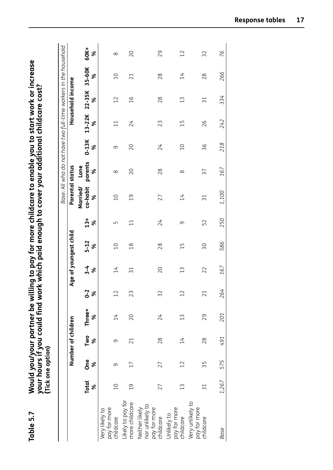| Table 5.7                                                      |                   | (Tick one option) |                    | your hours if you could find work which paid<br>Would you/your partner be will |              |                 |                       |            | ling to pay for more childcare to enable you to start work or increase<br>enough to cover your additional childcare cost? |                                                                  |                |                |                  |                |              |
|----------------------------------------------------------------|-------------------|-------------------|--------------------|--------------------------------------------------------------------------------|--------------|-----------------|-----------------------|------------|---------------------------------------------------------------------------------------------------------------------------|------------------------------------------------------------------|----------------|----------------|------------------|----------------|--------------|
|                                                                |                   |                   |                    |                                                                                |              |                 |                       |            |                                                                                                                           | Base: All who do not have two full-time workers in the household |                |                |                  |                |              |
|                                                                |                   |                   | Number of children |                                                                                |              |                 | Age of youngest child |            | Parental status                                                                                                           |                                                                  |                |                | Household income |                |              |
|                                                                | <b>Total</b><br>ৡ | <b>One</b><br>৯   | Two<br>ৼ           | Three+<br>ৡ                                                                    | $0 - 2$<br>% | $3 - 4$<br>ৡ    | $5 - 12$<br>ৡ         | $13+$<br>ৡ | Married/<br>co-habit<br>ৡ                                                                                                 | parents<br>Lone<br>ৡ                                             | $0-13K$<br>ৼ   | 13-22K<br>ৼ    | 22-35K<br>%      | 35-60K<br>ৡ    | 60K+<br>ৡ    |
| pay for more<br>Very likely to<br>childcare                    | $\overline{C}$    | σ                 | 9                  | 14                                                                             | 12           | 14              | $\overline{C}$        | Б          | $\sum$                                                                                                                    | ${}^{\circ}$                                                     | 9              | $\Xi$          | $\overline{12}$  | $\overline{C}$ | ${}^{\circ}$ |
| Likely to pay for<br>more childcare                            | $\overline{c}$    | $\overline{17}$   | 21                 | 20                                                                             | 23           | $\overline{31}$ | $\frac{8}{18}$        | $\Xi$      | $\overline{0}$                                                                                                            | 20                                                               | 20             | 24             | 16               | 21             | 20           |
| nor unlikely to<br>Neither likely<br>pay for more<br>childcare | 27                | 27                | 28                 | 24                                                                             | 32           | 20              | 28                    | 24         | 27                                                                                                                        | 28                                                               | 24             | 23             | 28               | 28             | 29           |
| pay for more<br>Unlikely to<br>childcare                       | $\widetilde{1}$   | 12                | $\overline{14}$    | $\widetilde{13}$                                                               | 12           | $\frac{1}{3}$   | $\overline{1}$        | 9          | $\overline{14}$                                                                                                           | $\infty$                                                         | $\overline{C}$ | $\overline{1}$ | 13               | 14             | 12           |
| Very unlikely to<br>pay for more<br>childcare                  | $\approx$         | 35                | 28                 | 29                                                                             | 21           | 22              | 30                    | 52         | $\overline{31}$                                                                                                           | 37                                                               | 36             | 26             | $\overline{31}$  | 28             | 32           |
| Base                                                           | 1,267             | 575               | 491                | 201                                                                            | 264          | 167             | 586                   | 250        | 1,100                                                                                                                     | 167                                                              | 218            | 242            | 334              | 266            | 76           |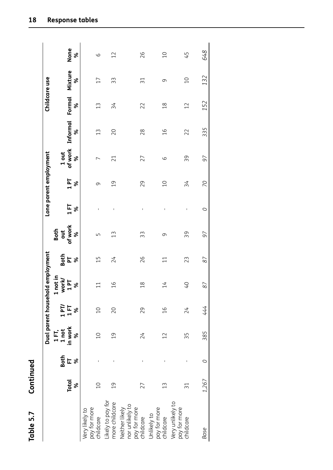| d<br>Ē<br>Cont     |  |
|--------------------|--|
| <u>ທ່</u><br>Table |  |

|                                                                |                   |                       |                       |                       | Dual parent household employment |                    |                   |              | Lone parent employment |                       |               | Childcare use      |                 |                |
|----------------------------------------------------------------|-------------------|-----------------------|-----------------------|-----------------------|----------------------------------|--------------------|-------------------|--------------|------------------------|-----------------------|---------------|--------------------|-----------------|----------------|
|                                                                |                   |                       | 1 FT,                 |                       | not in<br>$\blacktriangleright$  |                    | <b>Both</b>       |              |                        |                       |               |                    |                 |                |
|                                                                | <b>Total</b><br>ৼ | Both<br>$E$ $\approx$ | in work<br>1 not<br>ৼ | $197$<br>$157$<br>$8$ | work<br>$1$ PT<br>ৡ              | Both<br><u>ኤ</u> ጄ | of work<br>ă<br>ৼ | 158          | 191<br>ৡ               | of work<br>1 out<br>ৡ | Informal<br>ৡ | <b>Formal</b><br>ৡ | Mixture<br>ৡ    | None<br>%      |
| pay for more<br>childcare<br>Very likely to                    | $\Xi$             | $\sf I$               | $\overline{C}$        | $\overline{0}$        | $\Xi$                            | 15                 | LN                | $\mathbf{I}$ | 9                      |                       | 13            | $\widetilde{1}3$   | $\overline{17}$ | 9              |
| Likely to pay for<br>more childcare                            | $\overline{c}$    | Ţ                     | $\overline{0}$        | 20                    | $\frac{6}{1}$                    | 24                 | $\widetilde{13}$  | $\mathbf{I}$ | $\overline{0}$         | 21                    | 20            | 34                 | 33              | 12             |
| nor unlikely to<br>pay for more<br>childcare<br>Neither likely | 27                | I                     | 24                    | 29                    | $\frac{8}{1}$                    | 26                 | 33                | I            | 29                     | 27                    | 28            | 22                 | $\overline{31}$ | 26             |
| pay for more<br>childcare<br>Unlikely to                       | $\widetilde{13}$  | I                     | 12                    | $\frac{6}{1}$         | $\overline{14}$                  | $\Xi$              | 9                 | ï            | $\overline{0}$         | 6                     | $\frac{6}{1}$ | $\frac{8}{1}$      | 9               | $\overline{0}$ |
| Very unlikely to<br>pay for more<br>childcare                  | 31                |                       | 55                    | 24                    | $\overline{0}$                   | 23                 | 39                | I            | 34                     | 39                    | 22            | 12                 | $\overline{0}$  | 45             |
| Base                                                           | 1,267             | $\circ$               | 385                   | 444                   | 87                               | 87                 | 97                | $\circ$      | 20                     | 97                    | 335           | 152                | 132             | 648            |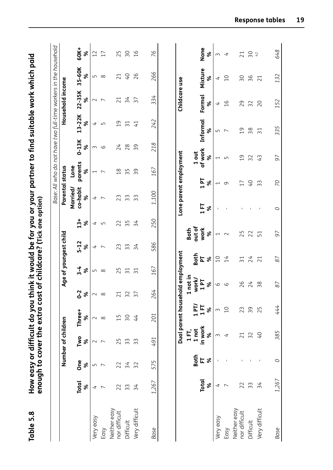|                               |                   |                 |                       | enough to cover the extra cost   |                          | of childcare? (Tick one option)  |                |                          | nk it would be for you or your partner to find suitable work which paid | Base: All who do not have two full-time workers in the household |                          |                 |                  |                 |                |
|-------------------------------|-------------------|-----------------|-----------------------|----------------------------------|--------------------------|----------------------------------|----------------|--------------------------|-------------------------------------------------------------------------|------------------------------------------------------------------|--------------------------|-----------------|------------------|-----------------|----------------|
|                               |                   |                 | Number of children    |                                  |                          | Age of youngest child            |                |                          | <b>Parental status</b>                                                  |                                                                  |                          |                 | Household income |                 |                |
|                               | <b>Total</b><br>ৼ | <b>One</b><br>ৡ | Two<br>ৡ              | Three+<br>%                      | $0 - 2$<br>ৡ             | $3 - 4$<br>৯                     | $5 - 12$<br>ৡ  | $13 +$<br>వ్             | co-habit<br>Married/<br>৯                                               | parents<br>Lone<br>ৡ                                             | $0-13K$<br>వ్            | 13-22K<br>ৼ     | 22-35K<br>వ్     | 35-60K<br>ৡ     | 60K+<br>ჯ      |
| Very easy                     | 4                 | 5               | $\sim$                | $\sim$                           | $\sim$                   | Б                                | 4              | 4                        | 4                                                                       | $\overline{\phantom{0}}$                                         | 3                        | 4               | $\sim$           | Б               | $\overline{C}$ |
| Easy                          |                   | $\overline{ }$  |                       | $\infty$                         | $\infty$                 | $\infty$                         | $\overline{ }$ | LO                       | $\overline{\phantom{0}}$                                                | $\overline{ }$                                                   | 9                        | LO              | $\overline{ }$   | $\infty$        | 17             |
| Neither easy<br>nor difficult | 22                | 22              | 5<br>$\sim$           | 15                               | 21                       | 25                               | 23             | 22                       | m<br>$\sim$                                                             | $\frac{8}{1}$                                                    | 24                       | $\overline{c}$  | 21               | 21              | 25             |
| Difficult                     | 33                | 34              | ന                     | $50\,$                           | 32                       | $\overline{5}$                   | 33             | 55                       | ω<br>Σ                                                                  | S<br>S                                                           | 28                       | $\overline{5}$  | 34               | Q+              | SΟ             |
| Very difficult                | $\overline{34}$   | 32              | 33                    | 44                               | 57                       | $\overline{31}$                  | 34             | 34                       | 33                                                                      | 39                                                               | 39                       | 41              | 57               | 26              | $\frac{91}{5}$ |
| Base                          | 1,267             | 575             | 491                   | 201                              | 264                      | 167                              | 586            | 250                      | 1,100                                                                   | 167                                                              | 218                      | 242             | 334              | 266             | 76             |
|                               |                   |                 |                       |                                  |                          |                                  |                |                          |                                                                         |                                                                  |                          |                 |                  |                 |                |
|                               |                   |                 |                       | Dual parent household employment |                          |                                  |                |                          | Lone parent employment                                                  |                                                                  |                          |                 | Childcare use    |                 |                |
|                               |                   |                 | 1 FT,                 |                                  | not in<br>$\blacksquare$ |                                  |                | <b>Both</b>              |                                                                         |                                                                  |                          |                 |                  |                 |                |
|                               | <b>Total</b><br>ৼ | Both<br>にゃ      | in work<br>1 not<br>ৡ | $1$ PT/<br>15<br>ৡ               | work/<br>1P<br>ৡ         | <b>Both</b><br>$\mathbf{r}$<br>ৡ |                | out of<br>work<br>৯      | $\frac{1}{11}$<br>৯                                                     | 1P<br>ৡ                                                          | of work<br>1 out<br>৯    | Informal<br>వ్  | Formal<br>ৡ      | Mixture<br>వ్   | None<br>వ్     |
| Very easy                     | 4                 |                 | S                     | $\sim$                           | 6                        | $\overline{C}$                   |                | $\overline{\phantom{0}}$ |                                                                         | $\overline{\phantom{0}}$                                         | $\overline{\phantom{0}}$ | Б               | 4                | 4               | $\sim$         |
| Easy                          | $\overline{ }$    |                 | 4                     | $\overline{10}$                  | 9                        | $\overline{14}$                  |                | $\sim$                   |                                                                         | $\sigma$                                                         | LN                       | $\overline{ }$  | $\frac{9}{1}$    | $\overline{C}$  | 4              |
| Neither easy<br>nor difficult | 22                |                 | $\overline{21}$       | 23                               | 26                       | $\overline{31}$                  |                | 25                       |                                                                         | 17                                                               | $\overline{0}$           | $\overline{c}$  | 29               | 50              | 21             |
| Difficult                     | 33                |                 | $\overline{32}$       | 39                               | 24                       | 24                               |                | 22                       |                                                                         | $\overline{0}$                                                   | 32                       | 38              | $\sim$<br>$\sim$ | 36              | 50             |
| Very difficult                | 34                |                 | Q+                    | 25                               | 38                       | $\overline{21}$                  |                | $\overline{51}$          | $\,$ I                                                                  | 33                                                               | 43                       | $\overline{31}$ | 20               | $\overline{21}$ | 42             |
| Base                          | 1,267             | O               | 385                   | 444                              | 87                       | 87                               |                | 97                       | O                                                                       | 20                                                               | 97                       | 335             | 152              | 132             | 648            |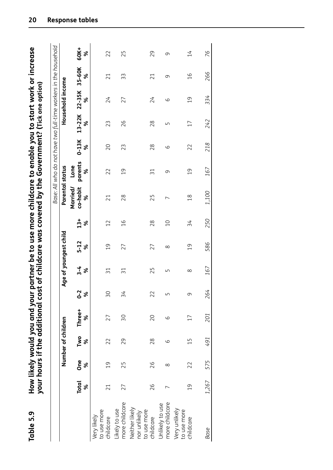|                                                            |                   |                | Number of children |             |              |                 | Age of youngest child |                 | Parental status           | Base: All who do not have two full-time workers in the household |              |             | Household income |                |                 |
|------------------------------------------------------------|-------------------|----------------|--------------------|-------------|--------------|-----------------|-----------------------|-----------------|---------------------------|------------------------------------------------------------------|--------------|-------------|------------------|----------------|-----------------|
|                                                            | <b>Total</b><br>ৼ | One<br>ৼ       | Two<br>ৼ           | Three+<br>% | $0 - 2$<br>ৡ | $3 - 4$<br>ৡ    | $5 - 12$<br>ৡ         | $13+$<br>ৡ      | Married/<br>co-habit<br>ৼ | parents<br>Lone<br>%                                             | $0-13K$<br>ৡ | 13-22K<br>ৼ | 22-35K<br>ৼ      | 35-60K<br>ৼ    | 60K+<br>%       |
| to use more<br>Very likely<br>childcare                    | $\overline{21}$   | $\overline{0}$ | 22                 | 27          | 30           | 31              | $\overline{0}$        | $\overline{12}$ | 21                        | 22                                                               | 20           | 23          | 24               | 21             | 22              |
| more childcare<br>likely to use                            | 27                | 25             | 29                 | SΟ          | 34           | $\overline{31}$ | 27                    | $\frac{9}{1}$   | 28                        | $\overline{0}$                                                   | 23           | 26          | 27               | 33             | 25              |
| Neither likely<br>to use more<br>nor unlikely<br>childcare | 26                | 26             | 28                 | 20          | 22           | 25              | 27                    | 28              | 25                        | $\overline{31}$                                                  | 28           | 28          | 24               | 21             | 29              |
| more childcare<br>Unlikely to use                          |                   | $\infty$       | 6                  | 9           | Б            | Б               | $\infty$              | $\Omega$        | ∼                         | 9                                                                | 6            | 5           | 9                | 9              | ᡡ               |
| Very unlikely<br>to use more<br>childcare                  | $\overline{0}$    | 22             | $\overline{1}$     | $\Box$      | 9            | $\infty$        | $\overline{0}$        | 34              | $\frac{8}{18}$            | $\overline{0}$                                                   | 22           | $\Box$      | $\overline{c}$   | $\frac{91}{1}$ | $\overline{14}$ |
| <b>Base</b>                                                | 1,267             | 575            | 191                | 201         | 264          | 167             | 586                   | 250             | 1,100                     | 167                                                              | 218          | 242         | 334              | 266            | 76              |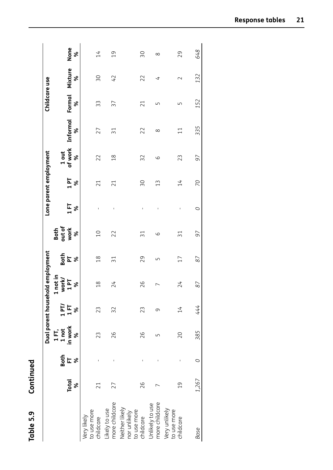| Į      |
|--------|
|        |
| ;<br>י |
| Ŀ      |
| í<br>c |
| î      |

| Table 5.9                                                  | Continued            |                      |                               |             |                                          |                              |                        |                 |                        |                  |          |                 |         |                |
|------------------------------------------------------------|----------------------|----------------------|-------------------------------|-------------|------------------------------------------|------------------------------|------------------------|-----------------|------------------------|------------------|----------|-----------------|---------|----------------|
|                                                            |                      |                      | Dual parent househol          |             | Id employment                            |                              |                        |                 | Lone parent employment |                  |          | Childcare use   |         |                |
|                                                            | <b>Total</b>         | Both<br>$E$ $\delta$ | in work<br>$1 \overline{R}$ , | 1PT/<br>158 | not in<br>vorkJ<br><b>Le<sub>1</sub></b> | $rac{1}{2}$ is $\frac{1}{2}$ | Both<br>out of<br>work | $\frac{1}{2}$ % | $1P_8$                 | of work<br>1 out | Informal | Formal          | Mixture | None           |
| to use more<br>childcare<br>Very likely                    | ৼ<br>$\overline{21}$ |                      | L<br>23                       | 23          | ৡ<br>$\frac{8}{10}$                      | $\frac{8}{18}$               | ৡ<br>$\overline{0}$    | $\sf I$         | $\overline{21}$        | ৼ<br>22          | ৡ<br>27  | ৼ<br>33         | ৡ<br>30 | ৡ<br>14        |
| Likely to use<br>more childcare                            | 27                   |                      | 26                            | 32          | 24                                       | $\overline{51}$              | 22                     | $\mathsf I$     | 21                     | $\frac{8}{18}$   | 31       | 37              | 42      | $\overline{0}$ |
| Neither likely<br>to use more<br>nor unlikely<br>childcare | 26                   |                      | 26                            | 23          | 26                                       | 29                           | $\overline{31}$        | $\sf I$         | ΟS                     | 32               | 22       | $\overline{21}$ | 22      | δŚ             |
| more childcare<br>Unlikely to use                          |                      |                      | ഥ                             | σ           | r                                        | Б                            | 9                      | $\sf I$         | $\widetilde{13}$       | 9                | $\infty$ | S               | 4       | $\infty$       |
| Very unlikely<br>to use more<br>childcare                  | $\overline{0}$       |                      | 20                            | 14          | 24                                       | 17                           | $\overline{31}$        | $\mathsf{I}$    | 14                     | 23               | $\Xi$    | Б               | $\sim$  | 29             |
| <b>Base</b>                                                | 1,267                | O                    | 385                           | 444         | 87                                       | 87                           | 97                     | $\circ$         | 20                     | 97               | 335      | 152             | 132     | 648            |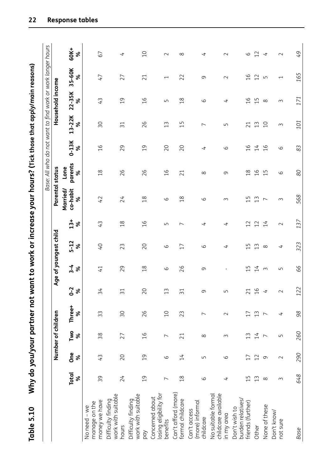Why do you/your partner not want to work or increase your hours? (Tick those that apply/main reasons) **Table 5.10 Why do you/your partner not want to work or increase your hours? (Tick those that apply/main reasons)** Table 5.10

|                                                         |                          |                | Number of children       |                |                  |                | Age of youngest child |                          | Parental status      | Base: All who do not want to find work or work longer hours |                |                               | Household income |                          |                          |
|---------------------------------------------------------|--------------------------|----------------|--------------------------|----------------|------------------|----------------|-----------------------|--------------------------|----------------------|-------------------------------------------------------------|----------------|-------------------------------|------------------|--------------------------|--------------------------|
|                                                         | <b>Total</b>             | One            | Two                      | Three+         | $0-2$            | $3 - 4$        | $5 - 12$              | $13+$                    | Married/<br>co-habit | parents<br>Lone                                             | $0-13K$        | 13-22K                        | $22 - 35K$       | 35-60K                   | 60K+                     |
|                                                         | ৼ                        | ৡ              | ৡ                        | ৯              | ৯                | ৡ              | ৯                     | ৡ                        | ৯                    | ৡ                                                           | ಸಿ             | శ                             | వ్               | వ్                       | ৯                        |
| money we have<br>manage on the<br>No need - we          | 39                       | 43             | 38                       | 33             | $\overline{34}$  | $\overline{1}$ | O+                    | 43                       | 42                   | $\frac{8}{1}$                                               | $\frac{9}{1}$  | 50                            | 43               | 47                       | 67                       |
| work with suitable<br>Difficulty finding<br>hours       | 24                       | 20             | 27                       | 50             | $\overline{31}$  | 29             | 23                    | $\frac{8}{1}$            | 24                   | 26                                                          | 29             | $\overline{31}$               | $\overline{c}$   | 27                       | 4                        |
| work with suitable<br>Difficulty finding<br>ρqy         | $\overline{c}$           | $\overline{c}$ | 16                       | 26             | 20               | $\frac{8}{1}$  | 20                    | $\frac{9}{1}$            | $\frac{8}{1}$        | 26                                                          | $\overline{c}$ | 26                            | $\frac{9}{1}$    | 21                       | $\overline{C}$           |
| losing eligibility for<br>Concerned about<br>benefits   | $\overline{ }$           | $\circ$        | $\overline{ }$           | $\overline{C}$ | $\widetilde{13}$ | 9              | 9                     | 5                        | 9                    | $\frac{9}{1}$                                               | 20             | $\frac{1}{3}$                 | Б                | $\overline{\phantom{0}}$ | $\sim$                   |
| Can't afford (more)<br>formal childcare                 | $\frac{8}{10}$           | 14             | 21                       | 23             | $\overline{51}$  | 26             | 17                    | $\overline{\phantom{0}}$ | 18                   | 21                                                          | 20             | ഥ<br>$\overline{\phantom{0}}$ | $\frac{8}{10}$   | 22                       | $\infty$                 |
| (more) informal<br>Can't access<br>childcare            | $\circ$                  | S              | $\infty$                 | $\overline{ }$ | וט               | 9              | 6                     | 4                        | 6                    | $\infty$                                                    | 4              | $\overline{\phantom{0}}$      | 6                | σ                        | 4                        |
| childcare available<br>No suitable formal<br>in my area | $\overline{\mathcal{L}}$ | 6              | 3                        | $\sim$         | ر ب              | J.             | 4                     | 4                        | 3                    | 0                                                           | 6              | Б                             | 4                | $\sim$                   | $\sim$                   |
| burden relatives/<br>friends (further)<br>Don't wish to | $\overline{1}$           | 17             | 13                       | 17             |                  | $\overline{1}$ | $\overline{1}$        | 12                       | S                    | $\infty$<br>$\overline{\phantom{0}}$                        | $\frac{91}{5}$ | $\overline{21}$               | $\frac{9}{1}$    | $\frac{9}{1}$            | 6                        |
| Other                                                   | 13                       | 12             | 14                       | 13             | $21$<br>16       | 14             | $\frac{1}{3}$         | 12                       | $\widetilde{13}$     | 6<br>$\overline{\phantom{0}}$                               | 14             | $\frac{1}{3}$                 | 15               | 12                       | 12                       |
| None of these                                           | $\infty$                 | $\sigma$       | $\overline{\phantom{0}}$ | $\overline{ }$ |                  | $\infty$       | $\infty$              | 14                       | $\overline{ }$       | $\overline{1}$                                              | $\frac{9}{1}$  | $\overline{C}$                | $\infty$         | $\Box$                   | $\overline{\mathcal{A}}$ |
| Don't know/<br>not sure                                 | 3                        | $\sim$         | $\sqrt{ }$               | $\overline{t}$ | $\sim$           | $\overline{L}$ | 4                     | $\sim$                   | $\sim$               | 9                                                           | 9              | $\sim$                        | $\sim$           | $\overline{\phantom{0}}$ | $\sim$                   |
| Base                                                    | 648                      | 290            | 260                      | 98             | 122              | 99             | 323                   | 137                      | 568                  | 80                                                          | 83             | 101                           | 171              | 165                      | 97                       |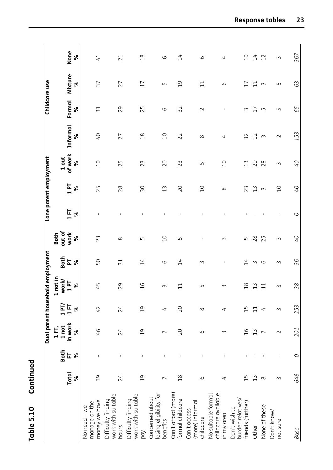| È      |  |
|--------|--|
| ī<br>Ċ |  |
|        |  |
| ١      |  |
| ۳      |  |
| L<br>г |  |
| a      |  |
|        |  |
| ī      |  |
|        |  |

|                                                         |                   |                       | Dual parent househo   |                    |                              | Id employment   |                     |                          | Lone parent employment |                       |                | Childcare use   |                 |                 |
|---------------------------------------------------------|-------------------|-----------------------|-----------------------|--------------------|------------------------------|-----------------|---------------------|--------------------------|------------------------|-----------------------|----------------|-----------------|-----------------|-----------------|
|                                                         |                   |                       | 1 FT,                 |                    | not in<br>급                  |                 | <b>Both</b>         |                          |                        |                       |                |                 |                 |                 |
|                                                         | <b>Total</b><br>৯ | <b>Both</b><br>匸<br>ৡ | in work<br>1 not<br>ৼ | $1$ PT/<br>15<br>৯ | work/<br>$\overline{a}$<br>ৡ | PT<br>PT<br>ৡ   | out of<br>work<br>ৡ | $\frac{1}{11}$<br>ৡ      | 19<br>ৡ                | 1 out<br>of work<br>৯ | Informal<br>৯  | Formal<br>৯     | Mixture<br>৯    | None<br>ৡ       |
| money we have<br>manage on the<br>No need - we          | 39                |                       | $\frac{9}{7}$         | 42                 | 45                           | 50              | 23                  |                          | 25                     | $\overline{C}$        | $\overline{Q}$ | $\overline{31}$ | 37              | $\overline{41}$ |
| work with suitable<br>Difficulty finding<br>hours       | 24                |                       | 24                    | 24                 | 29                           | $\overline{31}$ | $\infty$            |                          | 28                     | 25                    | 27             | 29              | 27              | 21              |
| work with suitable<br>Difficulty finding<br>Ypd         | $\overline{0}$    |                       | $\overline{c}$        | $\overline{c}$     | $\frac{9}{1}$                | 14              | LN                  | $\mathsf I$              | SΟ                     | 23                    | $\frac{8}{1}$  | 25              | 17              | $\frac{8}{10}$  |
| losing eligibility for<br>Concerned about<br>benefits   | $\overline{ }$    |                       | $\overline{ }$        | 4                  | $\sim$                       | 9               | $\overline{C}$      | $\mathsf I$              | 13                     | 20                    | $\overline{C}$ | $\circ$         | LN              | 9               |
| Can't afford (more)<br>formal childcare                 | $\frac{8}{1}$     |                       | 20                    | 20                 | 11                           | 14              | S                   | $\mathsf I$              | 20                     | 23                    | 22             | 32              | $\overline{c}$  | 14              |
| (more) informal<br>Can't access<br>childcare            | 9                 |                       | 9                     | $\infty$           | S                            | $\sim$          |                     |                          | 10                     | Б                     | $\infty$       | $\sim$          | $\overline{1}$  | $\circ$         |
| childcare available<br>No suitable formal<br>in my area | 4                 |                       | $\sim$                | 4                  | S                            | T,              | 3                   | $\mathbf I$              | $\infty$               | $\overline{C}$        | 4              | I.              | 9               | 4               |
| burden relatives/<br>friends (further)<br>Don't wish to | 15                |                       | $\frac{9}{1}$         | ΞĻ                 | $\frac{8}{10}$               | 14              | LN                  |                          | 23                     | 13                    | 32             | $\sim$          | 17              | $\overline{C}$  |
| Other                                                   | 13                |                       | 13                    |                    | 13                           | $\sim$          | 28                  |                          | 13                     | 20                    | 12             | 17              | $\overline{11}$ | 14              |
| None of these                                           | $\infty$          |                       | $\overline{ }$        | 4                  | $\overline{11}$              | 9               | 25                  | $\overline{\phantom{a}}$ | $\sim$                 | 28                    | $\sim$         | LO              | $\sim$          | 12              |
| Don't know/<br>not sure                                 | $\sim$            | $\mathsf I$           | $\sim$                | $\sim$             | $\sim$                       | $\sim$          | $\sim$              | $\mathsf I$              | $\overline{C}$         | $\sim$                | $\sim$         | LN              | LN              | $\sim$          |
| Base                                                    | 648               | O                     | 201                   | 253                | 38                           | 36              | O+                  | O                        | O+                     | O+                    | 153            | 65              | 63              | 367             |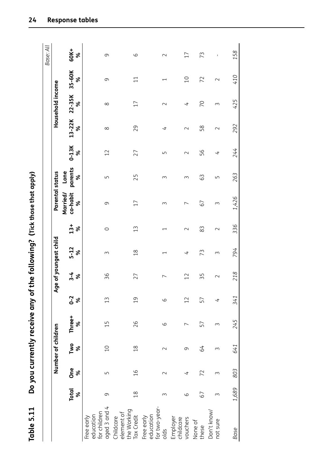| ${1 \atop 1}{1 \atop 1}{1 \atop 1}{1 \atop 1}{1}}$                  |
|---------------------------------------------------------------------|
| <b>SER STREAM</b>                                                   |
| <b>Contact Contact</b><br>$\frac{1}{2}$<br>$\overline{\phantom{a}}$ |
| $\mathbf i$                                                         |

| Table 5.11                                              |                   |                 |                    | Do you currently receive any of the following? (Tick those that apply) |                  |                |                          |                  |                           |                      |              |             |                  |                          |             |
|---------------------------------------------------------|-------------------|-----------------|--------------------|------------------------------------------------------------------------|------------------|----------------|--------------------------|------------------|---------------------------|----------------------|--------------|-------------|------------------|--------------------------|-------------|
|                                                         |                   |                 |                    |                                                                        |                  |                |                          |                  |                           |                      |              |             |                  |                          | Base: All   |
|                                                         |                   |                 | Number of children |                                                                        |                  |                | Age of youngest child    |                  | Parental status           |                      |              |             | Household income |                          |             |
|                                                         | <b>Total</b><br>ৡ | <b>One</b><br>ৡ | Two<br>ৡ           | Three+<br>ৡ                                                            | $0 - 2$<br>ৡ     | $3 - 4$<br>ৡ   | $5 - 12$<br>ৡ            | $13 +$<br>ৡ      | co-habit<br>Married/<br>ৡ | parents<br>Lone<br>ৡ | $0-13K$<br>ৡ | 13-22K<br>ৡ | 22-35K<br>৯      | 35-60K<br>ৼ              | 60K+<br>ৡ   |
| aged 3 and 4<br>for children<br>education<br>Free early | $\sigma$          | LN              | $\overline{0}$     | 15                                                                     | $\widetilde{1}3$ | 36             | ξ                        | $\circ$          | $\sigma$                  | Б                    | 12           | $\infty$    | $\infty$         | 9                        | 9           |
| the Working<br>element of<br>Tax Credit<br>Childcare    | $\frac{8}{10}$    | $\frac{9}{1}$   | $\frac{8}{10}$     | 26                                                                     | $\overline{c}$   | 27             | $\frac{8}{18}$           | $\widetilde{13}$ | 17                        | 25                   | 27           | 29          | $\overline{17}$  | $\Xi$                    | 6           |
| for two-year-<br>education<br>Free early<br>olds        | 3                 | $\sim$          | $\sim$             | $\circ$                                                                | $\circ$          | $\overline{ }$ | $\overline{\phantom{0}}$ | ↽                | S                         | S                    | S            | 4           | $\sim$           | $\overline{\phantom{0}}$ | $\sim$      |
| Employer<br>childcare<br>vouchers                       | $\circ$           | 4               | 0                  | ∼                                                                      | 12               | 12             | 4                        | $\sim$           | $\overline{\phantom{0}}$  | ς                    | $\sim$       | $\sim$      | 4                | $\overline{C}$           | 17          |
| None of<br>these                                        | 67                | 72              | 49                 | 57                                                                     | 57               | 55             | 73                       | 83               | 67                        | 63                   | 56           | 58          | $\overline{C}$   | 72                       | 73          |
| Don't know/<br>not sure                                 | 3                 | 3               | 3                  | 3                                                                      | 4                | $\sim$         | ξ                        | $\sim$           | ς                         | Б                    | 4            | $\sim$      | 3                | $\sim$                   | $\mathsf I$ |
| Base                                                    | 1,689             | 803             | 641                | 245                                                                    | 341              | 218            | 794                      | 336              | 1,426                     | 263                  | 244          | 292         | 425              | 410                      | 158         |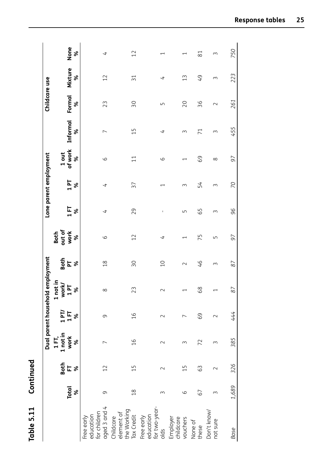| ť      |
|--------|
|        |
|        |
|        |
|        |
|        |
|        |
|        |
|        |
|        |
|        |
|        |
| ┥<br>۲ |
|        |
| ۳      |
|        |
|        |
| u      |
|        |
| t      |
|        |
|        |
|        |
|        |
| ŕ      |
|        |

|                                                         |                |                 |                               |                | Dual parent household employment                   |                 |                          |                | Lone parent employment   |                          |                          | Childcare use |                  |                          |
|---------------------------------------------------------|----------------|-----------------|-------------------------------|----------------|----------------------------------------------------|-----------------|--------------------------|----------------|--------------------------|--------------------------|--------------------------|---------------|------------------|--------------------------|
|                                                         | Total          | Both<br>E       | 1FT,<br>1 not in<br>work<br>% | $1$ FT         | not in<br>orkJ<br><u>ې ځا</u><br>Š<br>$\mathbf{u}$ | <b>SER</b>      | out of<br>work<br>Both   | 15             | 1P                       | of work<br>1 out         | Informal                 | Formal        | Mixture          | None                     |
|                                                         |                |                 |                               | ৯              |                                                    |                 | $\infty$                 | ৡ              | ৡ                        | ৼ                        | ৡ                        | ৡ             | ৡ                | ৡ                        |
| education<br>for children<br>aged 3 and 4<br>Free early | 9              | $\overline{12}$ |                               | $\sigma$       | $\infty$                                           | $\frac{8}{18}$  | 9                        | $\overline{t}$ | 4                        | 9                        | $\overline{\phantom{0}}$ | 23            | 12               | 4                        |
| the Working<br>Tax Credit<br>Childcare<br>element of    | $\frac{8}{10}$ | $\overline{1}$  | $\frac{9}{1}$                 | $\frac{91}{1}$ | 23                                                 | $\overline{50}$ | 12                       | 29             | 37                       | $\Xi$                    | $\overline{1}$           | 30            | $\overline{31}$  | 12                       |
| education<br>for two-year-<br>Free early<br>olds        | ς              | $\sim$          | $\sim$                        | $\sim$         | $\sim$                                             | $\overline{C}$  | ෑ                        | $\sf I$        | $\overline{\phantom{0}}$ | 9                        | 4                        | ۱             | 4                | $\overline{\phantom{0}}$ |
| Employer<br>childcare<br>vouchers                       | ဖ              | $\overline{1}$  | ς                             |                | $\overline{\phantom{0}}$                           | $\sim$          | $\overline{\phantom{0}}$ | Б              | 3                        | $\overline{\phantom{0}}$ | 3                        | 20            | $\widetilde{13}$ | $\overline{\phantom{0}}$ |
| None of<br>these                                        | 67             | 63              | 72                            | 69             | 68                                                 | $\overline{9}$  | 75                       | 65             | 54                       | 69                       | $\overline{7}$           | 36            | 49               | $\approx$                |
| Don't know/<br>not sure                                 | 3              | $\sim$          | $\sim$                        |                | $\overline{\phantom{0}}$                           | 3               | Б                        | $\sim$         | $\sim$                   | $\infty$                 | $\sim$                   | $\sim$        | $\sim$           | 3                        |
| Base                                                    | 1,689          | 326             | 385                           | 444            | 87                                                 | 87              | 56                       | 96             | 20                       | 97                       | 455                      | 261           | 223              | 750                      |
|                                                         |                |                 |                               |                |                                                    |                 |                          |                |                          |                          |                          |               |                  |                          |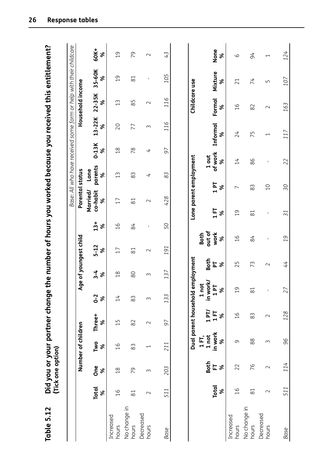| Table 5.12            |                   | (Tick one option) | Did you or your partner chang  |                                                                      |                                           |                                             |                             |               |                                       |                      |              |               |                  | e the number of hours you worked because you received this entitlement? |                          |
|-----------------------|-------------------|-------------------|--------------------------------|----------------------------------------------------------------------|-------------------------------------------|---------------------------------------------|-----------------------------|---------------|---------------------------------------|----------------------|--------------|---------------|------------------|-------------------------------------------------------------------------|--------------------------|
|                       |                   |                   |                                |                                                                      |                                           |                                             |                             |               |                                       |                      |              |               |                  | Base: All who have received some form or help with their childcare      |                          |
|                       |                   |                   | Number of children             |                                                                      |                                           | Age of youngest child                       |                             |               | Parental status                       |                      |              |               | Household income |                                                                         |                          |
|                       | <b>Total</b><br>ৡ | <b>One</b><br>ৡ   | Two<br>$\%$                    | Three+<br>ৼ                                                          | $0 - 2$<br>$\aleph$                       | $3 - 4$<br>$\boldsymbol{\mathcal{S}}$       | $5 - 12$<br>৯               | $13+$<br>ৡ    | Married/<br>co-habit<br>$\aleph$      | parents<br>Lone<br>ৡ | $0-13K$<br>ৡ | 13-22K<br>৯   | $22 - 35K$<br>৯  | 35-60K<br>৯                                                             | 60K+<br>ৡ                |
| Increased<br>hours    | $\frac{9}{1}$     | $\frac{8}{1}$     | 16                             | $\overline{1}$                                                       | 14                                        | $\frac{8}{1}$                               | 17                          | $\frac{9}{1}$ | 17                                    | 13                   | 18           | 20            | 13               | $\overline{0}$                                                          | $\overline{0}$           |
| No change in<br>hours | $\approx$         | 79                | 83                             | 82                                                                   | 83                                        | 80                                          | $\approx$                   | 84            | $\approx$                             | 83                   | 78           | 77            | 85               | $\approx$                                                               | 79                       |
| Decreased<br>hours    | $\sim$            | $\sim$            | $\overline{\phantom{0}}$       | $\sim$                                                               | ξ                                         | 3                                           | $\sim$                      | $\mathsf I$   | $\sim$                                | 4                    | 4            | $\sim$        | $\sim$           | $\mathsf I$                                                             | $\sim$                   |
| Base                  | 511               | 203               | 211                            | 57                                                                   | 133                                       | 137                                         | 191                         | 50            | 428                                   | 83                   | 50           | 116           | 116              | 105                                                                     | 43                       |
|                       |                   |                   |                                |                                                                      |                                           |                                             |                             |               |                                       |                      |              |               |                  |                                                                         |                          |
|                       |                   |                   |                                | Dual parent househol                                                 |                                           | d employment                                |                             |               | Lone parent employment                |                      |              |               | Childcare use    |                                                                         |                          |
|                       | <b>Total</b><br>ৡ | Both<br>E         | in work<br>1 not<br>1 FT,<br>৯ | $\begin{array}{c}\n1 \text{ PT} \\ 1 \text{ ET} \\ \% \n\end{array}$ | in work/<br>not<br>$\mathbf{r}$<br>ৡ<br>H | <b>Both</b><br>$\overline{\mathbf{r}}$<br>ৡ | out of<br>work<br>Both<br>ৡ |               | T <sub>1</sub><br>ৡ<br>İΞ<br>$\aleph$ | of work<br>1 out     | ৼ            | Informal<br>ৼ | Formal<br>৯      | Mixture<br>ৼ                                                            | None<br>%                |
| Increased<br>hours    | $\frac{9}{1}$     | 22                | 9                              | $\frac{91}{5}$                                                       | $\overline{c}$                            | 25                                          | $\frac{91}{1}$              |               | $\overline{ }$<br>$\overline{c}$      | 14                   |              | 24            | $\frac{91}{1}$   | 21                                                                      | 6                        |
| No change in<br>hours | $\approx$         | 76                | $88$                           | 83                                                                   | $\approx$                                 | 73                                          | 84                          |               | 83<br>$\approx$                       | 86                   |              | 75            | 82               | 74                                                                      | 54                       |
| Decreased<br>hours    | $\sim$            | $\sim$            | 3                              | $\sim$                                                               | I                                         | $\sim$                                      | $\mathsf I$                 |               | $\overline{0}$<br>$\mathsf I$         | $\mathsf I$          |              | ſ             | $\sim$           | Б                                                                       | $\overline{\phantom{0}}$ |
| Base                  | 511               | 114               | 96                             | 128                                                                  | 27                                        | 44                                          | 19                          |               | 50<br>$\overline{31}$                 | 22                   |              | 117           | 163              | 107                                                                     | 124                      |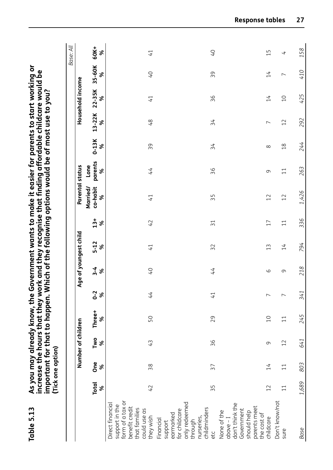| <b>Table 5.13</b>                                                                                                      |                   | (Tick one option) |                    | increase the hours that they w<br>As you may already know, the |                 |              |                       |                   | Government wants to make it easier for parents to start working or<br>ork and they recognise that finding affordable childcare would be<br>important for that to happen. Which of the following options would be of most use to you? |                      |                |                |                  |                 |                          |
|------------------------------------------------------------------------------------------------------------------------|-------------------|-------------------|--------------------|----------------------------------------------------------------|-----------------|--------------|-----------------------|-------------------|--------------------------------------------------------------------------------------------------------------------------------------------------------------------------------------------------------------------------------------|----------------------|----------------|----------------|------------------|-----------------|--------------------------|
|                                                                                                                        |                   |                   |                    |                                                                |                 |              |                       |                   |                                                                                                                                                                                                                                      |                      |                |                |                  |                 | Base: All                |
|                                                                                                                        |                   |                   | Number of children |                                                                |                 |              | Age of youngest child |                   | Parental status                                                                                                                                                                                                                      |                      |                |                | Household income |                 |                          |
|                                                                                                                        | <b>Total</b><br>ৡ | <b>One</b><br>ৡ   | Two<br>৯           | Three+<br>ৡ                                                    | $0 - 2$<br>ৼ    | $3 - 4$<br>ৡ | $5 - 12$<br>ৡ         | $13+$<br>$\infty$ | Married/<br>co-habit<br>ಸಿ                                                                                                                                                                                                           | parents<br>Lone<br>ჯ | $0-13K$<br>ৡ   | 13-22K<br>ৡ    | 22-35K<br>ৡ      | 35-60K<br>ৡ     | 60K+<br>ৡ                |
| form of a tax or<br>Direct financial<br>support in the<br>benefit credit<br>that families<br>could use as<br>they wish | 42                | 38                | 43                 | 50                                                             | 44              | $0+$         | $\overline{4}$        | 42                | 41                                                                                                                                                                                                                                   | 44                   | 39             | 48             | $\overline{4}$   | $\overline{0}$  | 41                       |
| only redeemed<br>childminders<br>for childcare<br>earmarked<br>nurseries,<br>Financial<br>through<br>support<br>etc    | 35                | 37                | 36                 | 29                                                             | $\overline{41}$ | 44           | 32                    | $\overline{31}$   | 55                                                                                                                                                                                                                                   | 36                   | 34             | 34             | 36               | 39              | $\mathcal{L}$            |
| don't think the<br>parents meet<br>Government<br>None of the<br>should help<br>the cost of<br>childcare<br>$1 - 300$   | 12                | $\overline{14}$   | 9                  | $\overline{C}$                                                 | $\overline{ }$  | 6            | 13                    | 17                | 12                                                                                                                                                                                                                                   | σ                    | $\infty$       | $\overline{ }$ | $\overline{14}$  | $\overline{14}$ | $\overline{1}$           |
| Don't know/not                                                                                                         |                   |                   |                    |                                                                |                 |              |                       |                   |                                                                                                                                                                                                                                      |                      |                |                |                  |                 |                          |
| sure                                                                                                                   | $\overline{1}$    | $\overline{11}$   | 12                 | $\Xi$                                                          | $\overline{ }$  | 9            | 14                    | $\overline{11}$   | 12                                                                                                                                                                                                                                   | $\overline{11}$      | $\frac{8}{10}$ | 12             | $\overline{C}$   | $\overline{ }$  | $\overline{\mathcal{L}}$ |
| Base                                                                                                                   | 1,689             | 803               | 641                | 245                                                            | 341             | 218          | 794                   | 336               | 1,426                                                                                                                                                                                                                                | 263                  | 244            | 292            | 425              | 410             | 158                      |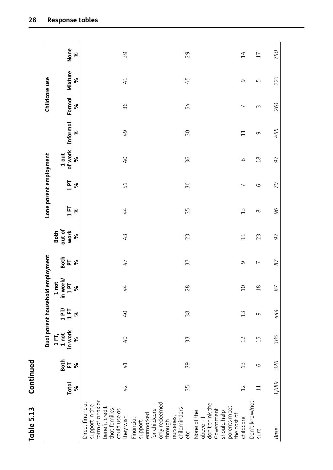| ١                |
|------------------|
|                  |
| ;<br>י           |
|                  |
|                  |
| n<br>٦<br>٦<br>٧ |
| L<br>a           |
|                  |
| ī                |

|                                                                                                                        |                          |                              |                                | Dual parent household                                                |                                | employment                     |                                                      |          | Lone parent employment |                              |                |                          | Childcare use |                  |
|------------------------------------------------------------------------------------------------------------------------|--------------------------|------------------------------|--------------------------------|----------------------------------------------------------------------|--------------------------------|--------------------------------|------------------------------------------------------|----------|------------------------|------------------------------|----------------|--------------------------|---------------|------------------|
|                                                                                                                        | Total<br>$\frac{96}{96}$ | $rac{1}{6}$ if $\frac{1}{6}$ | in work<br>1 not<br>1 FT,<br>ৡ | $\begin{array}{c}\n1 \text{ PT} \\ 1 \text{ ET} \\ \% \n\end{array}$ | in work/<br>1 PT<br>1 not<br>శ | $\frac{1}{2}$ is $\frac{1}{2}$ | out of<br>work<br>Both<br>$\boldsymbol{\mathcal{S}}$ | 158      | 1P<br>$\infty$         | of work<br>1 out<br>$\infty$ | Informal<br>ৡ  | Formal<br>ৡ              | Mixture<br>ৡ  | None<br>$\infty$ |
| form of a tax or<br>Direct financial<br>support in the<br>benefit credit<br>that families<br>could use as<br>they wish | 42                       | $\overline{4}$               | $O+$                           | $Q+$                                                                 | 44                             | 47                             | 43                                                   | 44       | 51                     | $0+$                         | 49             | 36                       | 41            | 39               |
| only redeemed<br>through<br>for childcare<br>support<br>earmarked<br>Financial                                         |                          |                              |                                |                                                                      |                                |                                |                                                      |          |                        |                              |                |                          |               |                  |
| nurseries,<br>childminders<br>etc                                                                                      | 35                       | 39                           | 33                             | 38                                                                   | 28                             | 37                             | 23                                                   | 35       | 36                     | 36                           | 30             | 54                       | 45            | 29               |
| don't think the<br>parents meet<br>Government<br>None of the<br>should help<br>$above - I$                             |                          |                              |                                |                                                                      |                                |                                |                                                      |          |                        |                              |                |                          |               |                  |
| the cost of<br>childcare                                                                                               | 12                       | $\frac{2}{1}$                | 12                             | 13                                                                   | $\Omega$                       | 9                              | $\overline{1}$                                       | 13       | $\overline{ }$         | $\circ$                      | $\overline{1}$ | $\overline{\phantom{0}}$ | 9             | 14               |
| Don't know/not<br>sure                                                                                                 | $\overline{11}$          | 9                            | $\overline{1}$                 | 9                                                                    | $\frac{8}{10}$                 | $\overline{ }$                 | 23                                                   | $\infty$ | 9                      | $\frac{8}{18}$               | 9              | 3                        | Б             | 17               |
| <b>Base</b>                                                                                                            | 1,689                    | 326                          | 385                            | 444                                                                  | $\approx$                      | 87                             | 97                                                   | 96       | 20                     | 97                           | 455            | 261                      | 223           | 750              |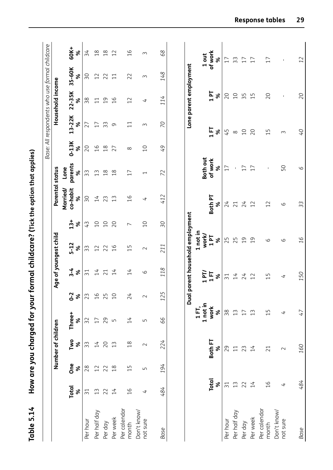|                         |                   |                 |                    |                            |                |                 |                                  |                          |                 |                          |                |                 | Base: All respondents who use formal childcare |                 |               |
|-------------------------|-------------------|-----------------|--------------------|----------------------------|----------------|-----------------|----------------------------------|--------------------------|-----------------|--------------------------|----------------|-----------------|------------------------------------------------|-----------------|---------------|
|                         |                   |                 | Number of children |                            |                |                 | Age of youngest child            |                          | Parental status |                          |                |                 | Household income                               |                 |               |
|                         |                   |                 |                    |                            |                |                 |                                  |                          | Married/        | Lone                     |                |                 |                                                |                 |               |
|                         | <b>Total</b><br>ৡ | <b>One</b><br>ৡ | Two<br>ৡ           | Three+<br>৯                | $0 - 2$<br>ৡ   | $3 - 4$<br>ৡ    | $5-12$<br>ৡ                      | $13+$<br>ৡ               | co-habit<br>ৡ   | parents<br>४             | $0-13K$<br>ৡ   | $13-22K$<br>ৡ   | $22 - 35K$<br>ৡ                                | 35-60K<br>వ్    | 60K+<br>৯     |
| Per hour                | $\overline{31}$   | 28              | 33                 | 32                         | 23             | $\overline{31}$ | 33                               | 43                       | 50              | 33                       | 20             | 27              | 38                                             | δŚ              | 34            |
| Per half day            | $\frac{1}{3}$     | 12              | $\overline{14}$    |                            | $\frac{91}{5}$ | 14              | 12                               | $\overline{C}$           | $\overline{14}$ | 13                       | $\frac{9}{1}$  | 17              | $\Xi$                                          | 12              | $\frac{8}{1}$ |
| Per day                 | 22                | 22              | 20                 | 29                         | 25             | 21              | 22                               | $\overline{C}$           | 23              | $\frac{8}{1}$            | $\frac{8}{1}$  | 33              | $\overline{0}1$                                | 22              | $\frac{8}{1}$ |
| Per week                | 14                | $\frac{8}{1}$   | 13                 | $\mathsf{L}\cap$           | $\overline{C}$ | 14              | $\frac{0}{1}$                    | 20                       | 13              | $\frac{8}{1}$            | 27             | 9               | 16                                             | $\overline{11}$ | 12            |
| Per calendar<br>month   | $\frac{9}{1}$     | $\overline{1}$  | $\frac{8}{1}$      | $\overline{14}$            | 24             | 14              | 15                               | $\overline{ }$           | $\overline{a}$  | 17                       | $\infty$       | $\overline{11}$ | 12                                             | 22              | $\frac{9}{1}$ |
| Don't know/             |                   |                 |                    |                            |                |                 |                                  |                          |                 |                          |                |                 |                                                |                 |               |
| not sure                | 4                 | LN              | $\sim$             | $\overline{L}$             | $\sim$         | 6               | $\sim$                           | $\overline{C}$           | 4               | $\overline{\phantom{0}}$ | $\overline{C}$ | $\sim$          | 4                                              | $\sim$          | $\sim$        |
| <b>Base</b>             | 484               | 194             | 224                | 99                         | 125            | 118             | 211                              | $\overline{\mathcal{S}}$ | 412             | 72                       | 97             | $\overline{C}$  | 114                                            | 148             | 68            |
|                         |                   |                 |                    |                            |                |                 | Dual parent household employment |                          |                 |                          |                |                 | Lone parent employment                         |                 |               |
|                         |                   |                 |                    |                            |                |                 |                                  |                          |                 |                          |                |                 |                                                |                 |               |
|                         |                   |                 |                    | 1 not in<br>1FT,           |                | $1$ PT/         | 1 not in<br>work/                |                          |                 | Both out                 |                |                 |                                                |                 | 1 out         |
|                         | Total             |                 | <b>Both FT</b>     | work                       |                | 15              | 191                              |                          | Both PT         | of work                  |                | $1$ FT          | 191                                            |                 | of work       |
|                         | ৡ                 |                 | ৡ                  | $\boldsymbol{\mathcal{S}}$ |                | ৡ               | ৡ                                |                          | ৼ               | %                        |                | ৡ               | ৡ                                              |                 | $\%$          |
| Per hour                | $\overline{31}$   |                 | 29                 | 38                         |                | $\overline{31}$ | 25                               |                          | 24              | 17                       |                | 45              | 20                                             |                 | 17            |
| Per half day            | $\widetilde{1}$   |                 | $\Xi$              | $\tilde{1}$                |                | $\overline{14}$ | 25                               |                          | 21              | $\mathbf{I}$             |                | $\infty$        | $\overline{C}$                                 |                 | 33            |
| Per day                 |                   |                 | 23                 | 17                         |                | 24              | $\overline{c}$                   |                          | 24              | 17                       |                | 10              | 35                                             |                 | 17            |
| Per week                | 14                |                 | 14                 | 13                         |                | 12              | $\overline{c}$                   |                          | 12              | 17                       |                | 20              | 15                                             |                 | 17            |
| Per calendar<br>month   | $\frac{9}{1}$     |                 | 21                 | $\overline{1}$             |                | $\overline{1}$  | 6                                |                          | 12              | $\mathbf{I}$             |                | $\overline{1}$  | 20                                             |                 | 17            |
|                         |                   |                 |                    |                            |                |                 |                                  |                          |                 |                          |                |                 |                                                |                 |               |
| Don't know/<br>not sure | $\overline{t}$    |                 | $\sim$             | $\overline{t}$             |                | 4               | 6                                |                          | 6               | 50                       |                | $\sim$          | $\mathbf I$                                    |                 | $\mathbf I$   |
| Base                    | 484               |                 | 160                | 47                         |                | 150             | 16                               |                          | 33              | 9                        |                | O+              | 20                                             |                 |               |

How are you charged for your formal childcare? (Tick the option that applies) **Table 5.14 How are you charged for your formal childcare? (Tick the option that applies)** Table 5.14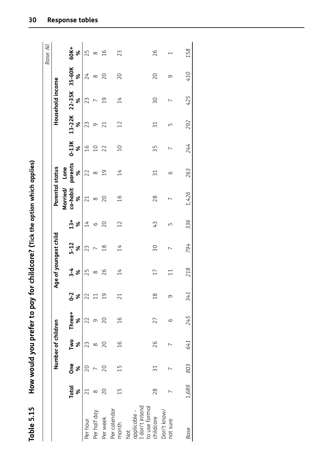| :<br>;<br>;             |
|-------------------------|
| ı                       |
|                         |
|                         |
| $\frac{1}{2}$<br>ا<br>ا |
| $\vdots$<br>j           |

| Table 5.15                                           |                   |                 |                    |               |                |                 |                          |                 | How would you prefer to pay for childcare? (Tick the option which applies) |                      |                          |                 |                          |             |                |
|------------------------------------------------------|-------------------|-----------------|--------------------|---------------|----------------|-----------------|--------------------------|-----------------|----------------------------------------------------------------------------|----------------------|--------------------------|-----------------|--------------------------|-------------|----------------|
|                                                      |                   |                 |                    |               |                |                 |                          |                 |                                                                            |                      |                          |                 |                          |             | Base: All      |
|                                                      |                   |                 | Number of children |               |                |                 | Age of youngest child    |                 | Parental status                                                            |                      |                          |                 | Household income         |             |                |
|                                                      | <b>Total</b><br>ৼ | <b>One</b><br>ৡ | Two<br>ৡ           | Three+<br>ৡ   | $0 - 2$<br>ৡ   | $3 - 4$<br>ৼ    | $5 - 12$<br>ৡ            | $13+$<br>ৡ      | Married/<br>co-habit<br>ৼ                                                  | parents<br>Lone<br>ৼ | $0-13K$<br>४             | $13 - 22K$<br>ৼ | 22-35K<br>ৼ              | 35-60K<br>ৼ | 60K+<br>ৡ      |
| Per hour                                             | $\overline{21}$   | 20              | 23                 | 22            | 22             | 25              | 23                       | $\overline{14}$ | 21                                                                         | 22                   | $\frac{9}{1}$            | 23              | 23                       | 24          | 25             |
| Per half day                                         | $\infty$          |                 | $\infty$           | σ             |                | $\infty$        |                          | $\circ$         | $\infty$                                                                   | $\infty$             | $\overline{C}$           | 9               |                          | $\infty$    | $\infty$       |
| Per week                                             | 20                | 20              | 20                 | 20            | $\overline{0}$ | 26              | $\frac{8}{18}$           | 20              | 20                                                                         | $\overline{0}$       | 22                       | 21              | $\overline{c}$           | 20          | $\frac{91}{2}$ |
| Per calendar<br>month                                | $\frac{1}{1}$     | $\frac{1}{1}$   | $\frac{16}{1}$     | $\frac{1}{6}$ | 21             | 14              | $\overline{14}$          | 12              | $\frac{1}{6}$                                                              | $\overline{14}$      | $\overline{0}$           | 12              | $\overline{14}$          | 20          | 23             |
| don't intend<br>to use formal<br>applicable -<br>Not |                   |                 |                    |               |                |                 |                          |                 |                                                                            |                      |                          |                 |                          |             |                |
| childcare                                            | 28                | $\overline{31}$ | 26                 | 27            | $\frac{8}{18}$ | $\overline{17}$ | 30                       | 43              | 28                                                                         | $\overline{31}$      | 35                       | $\overline{31}$ | 30                       | 20          | 26             |
| Don't know/<br>not sure                              |                   |                 |                    | 9             | 9              | $\Xi$           | $\overline{\phantom{0}}$ | Ь٥              | $\overline{\phantom{0}}$                                                   | 6                    | $\overline{\phantom{0}}$ | Б               | $\overline{\phantom{0}}$ | 9           |                |
| <b>Base</b>                                          | 1,689             | 803             | 641                | 245           | 341            | 218             | 794                      | 336             | 1,426                                                                      | 263                  | 244                      | 292             | 425                      | 410         | 158            |
|                                                      |                   |                 |                    |               |                |                 |                          |                 |                                                                            |                      |                          |                 |                          |             |                |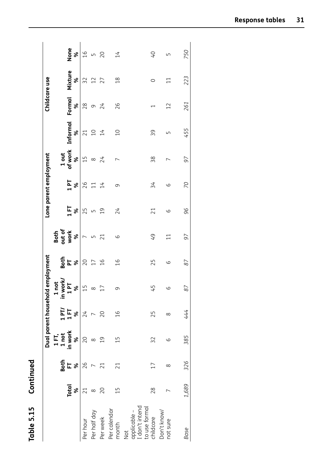| ē |  |
|---|--|
|   |  |
|   |  |
|   |  |
|   |  |
|   |  |
|   |  |
|   |  |
|   |  |
|   |  |
|   |  |
| 5 |  |
|   |  |
| Ţ |  |
|   |  |
|   |  |
| U |  |
|   |  |
| c |  |
|   |  |
|   |  |
|   |  |
| ī |  |
|   |  |

|                                       |                          |          |                                        | Dual parent household  |                          | employment    |                             |                  | Lone parent employment |                  |                                                    | Childcare use             |                         |                 |
|---------------------------------------|--------------------------|----------|----------------------------------------|------------------------|--------------------------|---------------|-----------------------------|------------------|------------------------|------------------|----------------------------------------------------|---------------------------|-------------------------|-----------------|
|                                       |                          | Both     | $1 \overline{1}$<br>$\overline{1}$ not |                        | <b>z</b>                 |               | Both<br>out of<br>work<br>% |                  |                        | 1 out<br>of work |                                                    |                           |                         |                 |
|                                       | <b>Total</b><br>$\infty$ | $E$ $\%$ | in work<br>ৡ                           | $1$ PT/<br>$1$ FT<br>% | in work/<br>1 PT<br>%    | <u>និ</u> ដ្ន |                             | 158              | $1P$ %                 | ४                | Informal<br>$\frac{8}{3}$                          | <b>Formal</b><br>$\infty$ | Mixture<br>$\infty$     | None<br>%       |
| Per hour                              | $\overline{21}$          | 26       | 20                                     | 24                     | $\overline{1}$           | 20            | $\overline{\phantom{0}}$    | 25               | 26                     | $\overline{1}$   | 21                                                 | 28                        | 32                      | $\overline{a}$  |
| Per half day                          | $\infty$                 |          | $\infty$                               |                        |                          | 17            | LN                          | $\mathsf{L}\cap$ | $\overline{11}$        | $\infty$         | $\begin{array}{c} 2 \overline{1} \\ 4 \end{array}$ | $\circ$                   | 12                      | $\sqrt{ }$      |
| Per week                              | 20                       | 21       | $\overline{0}$                         | 20                     | $\overline{\phantom{0}}$ | 16            | 21                          | $\overline{0}1$  | 14                     | 24               |                                                    | 24                        | 27                      | $\overline{20}$ |
| Per calendar<br>month                 | $\frac{15}{1}$           | 21       | $\frac{15}{1}$                         | $\frac{1}{1}$          | 0                        | $\frac{9}{1}$ | 6                           | 24               | 9                      | $\overline{ }$   | $\overline{C}$                                     | 26                        | $\frac{8}{1}$           | 14              |
| applicable -<br>I don't intend<br>Not |                          |          |                                        |                        |                          |               |                             |                  |                        |                  |                                                    |                           |                         |                 |
| to use formal<br>childcare            | 28                       |          | 32                                     | 25                     | 45                       | 25            | 49                          | 21               | 34                     | 38               | 39                                                 |                           | $\circ$                 | $\overline{O}$  |
| Don't know/<br>not sure               |                          | ∞        | 6                                      | ∞                      | CΩ                       | 6             | $\Xi$                       | 6                | 6                      |                  | ١                                                  | $\overline{12}$           | $\overline{\mathbf{1}}$ | Ь               |
| Base                                  | 1,689                    | 326      | 385                                    | 444                    | 87                       | 87            | 97                          | 96               | 20                     | 97               | 455                                                | 261                       | 223                     | 750             |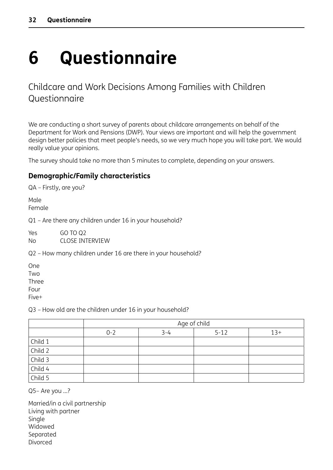## <span id="page-38-0"></span>**6 Questionnaire**

#### Childcare and Work Decisions Among Families with Children Questionnaire

We are conducting a short survey of parents about childcare arrangements on behalf of the Department for Work and Pensions (DWP). Your views are important and will help the government design better policies that meet people's needs, so we very much hope you will take part. We would really value your opinions.

The survey should take no more than 5 minutes to complete, depending on your answers.

#### **Demographic/Family characteristics**

QA – Firstly, are you?

Male Female

Q1 – Are there any children under 16 in your household?

Yes GO TO Q2 No CLOSE INTERVIEW

Q2 – How many children under 16 are there in your household?

One **Two** Three Four Five+

Q3 – How old are the children under 16 in your household?

|         |         |         | Age of child |       |
|---------|---------|---------|--------------|-------|
|         | $0 - 2$ | $3 - 4$ | $5 - 12$     | $13+$ |
| Child 1 |         |         |              |       |
| Child 2 |         |         |              |       |
| Child 3 |         |         |              |       |
| Child 4 |         |         |              |       |
| Child 5 |         |         |              |       |

Q5– Are you …?

Married/in a civil partnership Living with partner Single Widowed Separated Divorced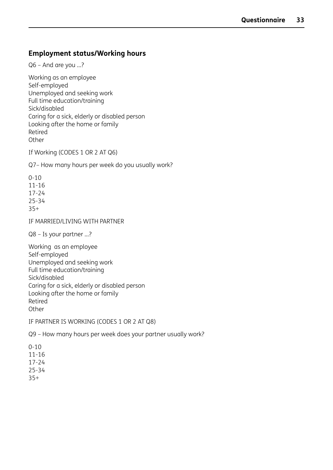#### **Employment status/Working hours**

Q6 – And are you …?

Working as an employee Self-employed Unemployed and seeking work Full time education/training Sick/disabled Caring for a sick, elderly or disabled person Looking after the home or family Retired **Other** 

If Working (CODES 1 OR 2 AT Q6)

Q7– How many hours per week do you usually work?

0-10 11-16 17-24 25-34 35+

IF MARRIED/LIVING WITH PARTNER

Q8 – Is your partner …?

Working as an employee Self-employed Unemployed and seeking work Full time education/training Sick/disabled Caring for a sick, elderly or disabled person Looking after the home or family Retired **Other** 

IF PARTNER IS WORKING (CODES 1 OR 2 AT Q8)

Q9 – How many hours per week does your partner usually work?

0-10 11-16 17-24 25-34 35+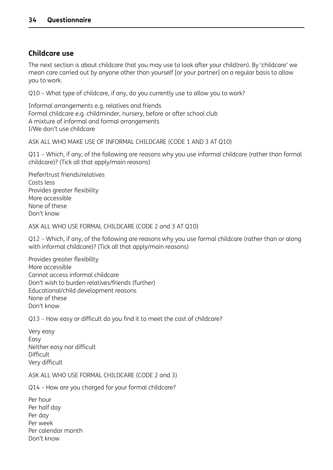#### **Childcare use**

The next section is about childcare that you may use to look after your child(ren). By 'childcare' we mean care carried out by anyone other than yourself [or your partner] on a regular basis to allow you to work.

Q10 – What type of childcare, if any, do you currently use to allow you to work?

Informal arrangements e.g. relatives and friends Formal childcare e.g. childminder, nursery, before or after school club A mixture of informal and formal arrangements I/We don't use childcare

ASK ALL WHO MAKE USE OF INFORMAL CHILDCARE (CODE 1 AND 3 AT Q10)

Q11 – Which, if any, of the following are reasons why you use informal childcare (rather than formal childcare)? (Tick all that apply/main reasons)

Prefer/trust friends/relatives Costs less Provides greater flexibility More accessible None of these Don't know

ASK ALL WHO USE FORMAL CHILDCARE (CODE 2 and 3 AT Q10)

Q12 – Which, if any, of the following are reasons why you use formal childcare (rather than or along with informal childcare)? (Tick all that apply/main reasons)

Provides greater flexibility More accessible Cannot access informal childcare Don't wish to burden relatives/friends (further) Educational/child development reasons None of these Don't know

Q13 – How easy or difficult do you find it to meet the cost of childcare?

Very easy Easy Neither easy nor difficult **Difficult** Very difficult

ASK ALL WHO USE FORMAL CHILDCARE (CODE 2 and 3)

Q14 – How are you charged for your formal childcare?

Per hour Per half day Per day Per week Per calendar month Don't know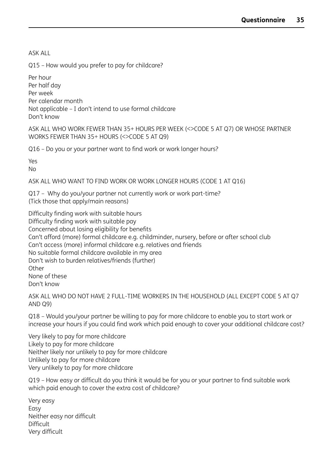ASK ALL

Q15 – How would you prefer to pay for childcare?

Per hour Per half day Per week Per calendar month Not applicable – I don't intend to use formal childcare Don't know

ASK ALL WHO WORK FEWER THAN 35+ HOURS PER WEEK (<>CODE 5 AT Q7) OR WHOSE PARTNER WORKS FEWER THAN 35+ HOURS (<>CODE 5 AT Q9)

Q16 – Do you or your partner want to find work or work longer hours?

Yes

No

ASK ALL WHO WANT TO FIND WORK OR WORK LONGER HOURS (CODE 1 AT Q16)

Q17 – Why do you/your partner not currently work or work part-time? (Tick those that apply/main reasons)

Difficulty finding work with suitable hours Difficulty finding work with suitable pay Concerned about losing eligibility for benefits Can't afford (more) formal childcare e.g. childminder, nursery, before or after school club Can't access (more) informal childcare e.g. relatives and friends No suitable formal childcare available in my area Don't wish to burden relatives/friends (further) **Other** None of these Don't know

ASK ALL WHO DO NOT HAVE 2 FULL-TIME WORKERS IN THE HOUSEHOLD (ALL EXCEPT CODE 5 AT Q7 AND Q9)

Q18 – Would you/your partner be willing to pay for more childcare to enable you to start work or increase your hours if you could find work which paid enough to cover your additional childcare cost?

Very likely to pay for more childcare Likely to pay for more childcare Neither likely nor unlikely to pay for more childcare Unlikely to pay for more childcare Very unlikely to pay for more childcare

Q19 – How easy or difficult do you think it would be for you or your partner to find suitable work which paid enough to cover the extra cost of childcare?

Very easy Easy Neither easy nor difficult Difficult Very difficult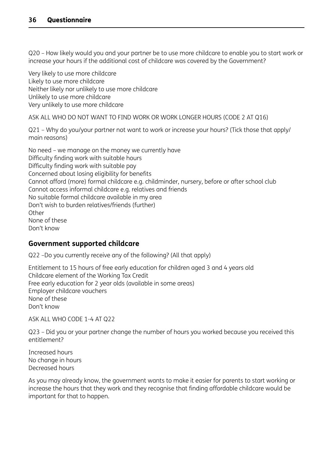Q20 – How likely would you and your partner be to use more childcare to enable you to start work or increase your hours if the additional cost of childcare was covered by the Government?

Very likely to use more childcare Likely to use more childcare Neither likely nor unlikely to use more childcare Unlikely to use more childcare Very unlikely to use more childcare

ASK ALL WHO DO NOT WANT TO FIND WORK OR WORK LONGER HOURS (CODE 2 AT Q16)

Q21 – Why do you/your partner not want to work or increase your hours? (Tick those that apply/ main reasons)

No need – we manage on the money we currently have Difficulty finding work with suitable hours Difficulty finding work with suitable pay Concerned about losing eligibility for benefits Cannot afford (more) formal childcare e.g. childminder, nursery, before or after school club Cannot access informal childcare e.g. relatives and friends No suitable formal childcare available in my area Don't wish to burden relatives/friends (further) **Other** None of these Don't know

#### **Government supported childcare**

Q22 –Do you currently receive any of the following? (All that apply)

Entitlement to 15 hours of free early education for children aged 3 and 4 years old Childcare element of the Working Tax Credit Free early education for 2 year olds (available in some areas) Employer childcare vouchers None of these Don't know

ASK ALL WHO CODE 1-4 AT Q22

Q23 – Did you or your partner change the number of hours you worked because you received this entitlement?

Increased hours No change in hours Decreased hours

As you may already know, the government wants to make it easier for parents to start working or increase the hours that they work and they recognise that finding affordable childcare would be important for that to happen.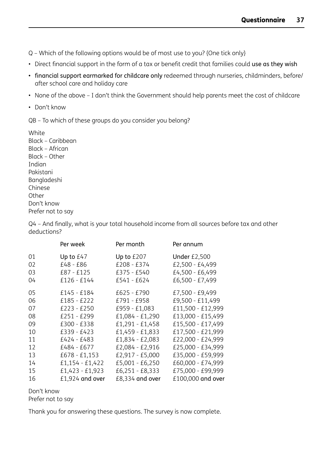Q – Which of the following options would be of most use to you? {One tick only}

- Direct financial support in the form of a tax or benefit credit that families could use as they wish
- financial support earmarked for childcare only redeemed through nurseries, childminders, before/ after school care and holiday care
- None of the above I don't think the Government should help parents meet the cost of childcare
- Don't know

QB – To which of these groups do you consider you belong?

White Black – Caribbean Black – African Black – Other Indian Pakistani Bangladeshi Chinese **Other** Don't know Prefer not to say

Q4 – And finally, what is your total household income from all sources before tax and other deductions?

|    | Per week          | Per month       | Per annum           |
|----|-------------------|-----------------|---------------------|
| 01 | Up to £47         | Up to £207      | <b>Under £2,500</b> |
| 02 | £48 - £86         | £208 - £374     | £2,500 - £4,499     |
| 03 | £87 - £125        | £375 - £540     | £4,500 - £6,499     |
| 04 | £126 - £144       | £541 - £624     | £6,500 - £7,499     |
| 05 | £145 - £184       | £625 - £790     | £7,500 - £9,499     |
| 06 | £185 - £222       | £791 - £958     | £9,500 - £11,499    |
| 07 | £223 - £250       | £959 - £1,083   | £11,500 - £12,999   |
| 08 | £251 - £299       | £1,084 - £1,290 | £13,000 - £15,499   |
| 09 | £300 - £338       | £1,291 - £1,458 | £15,500 - £17,499   |
| 10 | £339 - £423       | £1,459 - £1,833 | £17,500 - £21,999   |
| 11 | £424 - £483       | £1,834 - £2,083 | £22,000 - £24,999   |
| 12 | £484 - £677       | £2,084 - £2,916 | £25,000 - £34,999   |
| 13 | £678 - £1,153     | £2,917 - £5,000 | £35,000 - £59,999   |
| 14 | $£1,154 - £1,422$ | £5,001 - £6,250 | £60,000 - £74,999   |
| 15 | £1,423 - £1,923   | £6,251 - £8,333 | £75,000 - £99,999   |
| 16 | £1,924 and over   | £8,334 and over | £100,000 and over   |

Don't know

Prefer not to say

Thank you for answering these questions. The survey is now complete.